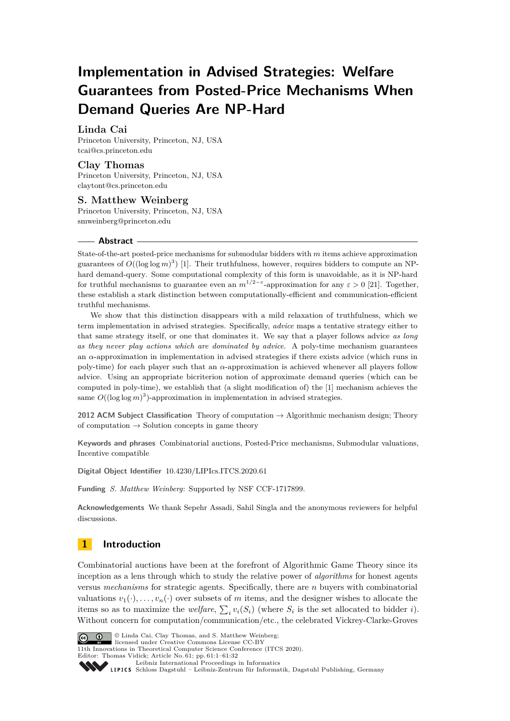# **Implementation in Advised Strategies: Welfare Guarantees from Posted-Price Mechanisms When Demand Queries Are NP-Hard**

# **Linda Cai**

Princeton University, Princeton, NJ, USA [tcai@cs.princeton.edu](mailto:tcai@cs.princeton.edu)

# **Clay Thomas**

Princeton University, Princeton, NJ, USA [claytont@cs.princeton.edu](mailto:claytont@cs.princeton.edu)

## **S. Matthew Weinberg** Princeton University, Princeton, NJ, USA [smweinberg@princeton.edu](mailto:smweinberg@princeton.edu)

### **Abstract**

State-of-the-art posted-price mechanisms for submodular bidders with *m* items achieve approximation guarantees of  $O((\log \log m)^3)$  [\[1\]](#page-13-0). Their truthfulness, however, requires bidders to compute an NPhard demand-query. Some computational complexity of this form is unavoidable, as it is NP-hard for truthful mechanisms to guarantee even an  $m^{1/2-\epsilon}$ -approximation for any  $\epsilon > 0$  [\[21\]](#page-14-0). Together, these establish a stark distinction between computationally-efficient and communication-efficient truthful mechanisms.

We show that this distinction disappears with a mild relaxation of truthfulness, which we term implementation in advised strategies. Specifically, *advice* maps a tentative strategy either to that same strategy itself, or one that dominates it. We say that a player follows advice *as long as they never play actions which are dominated by advice*. A poly-time mechanism guarantees an *α*-approximation in implementation in advised strategies if there exists advice (which runs in poly-time) for each player such that an *α*-approximation is achieved whenever all players follow advice. Using an appropriate bicriterion notion of approximate demand queries (which can be computed in poly-time), we establish that (a slight modification of) the [\[1\]](#page-13-0) mechanism achieves the same  $O((\log \log m)^3)$ -approximation in implementation in advised strategies.

**2012 ACM Subject Classification** Theory of computation → Algorithmic mechanism design; Theory of computation  $\rightarrow$  Solution concepts in game theory

**Keywords and phrases** Combinatorial auctions, Posted-Price mechanisms, Submodular valuations, Incentive compatible

**Digital Object Identifier** [10.4230/LIPIcs.ITCS.2020.61](https://doi.org/10.4230/LIPIcs.ITCS.2020.61)

**Funding** *S. Matthew Weinberg*: Supported by NSF CCF-1717899.

**Acknowledgements** We thank Sepehr Assadi, Sahil Singla and the anonymous reviewers for helpful discussions.

# <span id="page-0-0"></span>**1 Introduction**

Combinatorial auctions have been at the forefront of Algorithmic Game Theory since its inception as a lens through which to study the relative power of *algorithms* for honest agents versus *mechanisms* for strategic agents. Specifically, there are *n* buyers with combinatorial valuations  $v_1(\cdot), \ldots, v_n(\cdot)$  over subsets of *m* items, and the designer wishes to allocate the items so as to maximize the *welfare*,  $\sum_i v_i(S_i)$  (where  $S_i$  is the set allocated to bidder *i*). Without concern for computation/communication/etc., the celebrated Vickrey-Clarke-Groves



© Linda Cai, Clay Thomas, and S. Matthew Weinberg; licensed under Creative Commons License CC-BY

11th Innovations in Theoretical Computer Science Conference (ITCS 2020).

Editor: Thomas Vidick; Article No. 61; pp. 61:1–61[:32](#page-31-0)

[Leibniz International Proceedings in Informatics](https://www.dagstuhl.de/lipics/)

Leibniz International Froceedings in Informatik, Dagstuhl Publishing, Germany<br>LIPICS [Schloss Dagstuhl – Leibniz-Zentrum für Informatik, Dagstuhl Publishing, Germany](https://www.dagstuhl.de)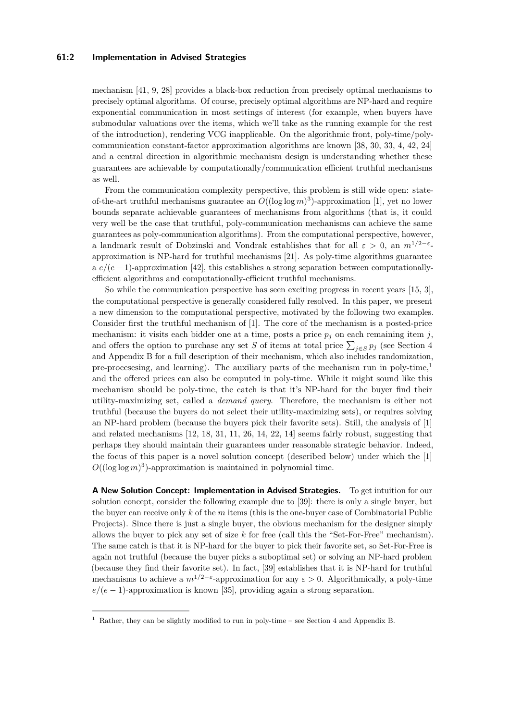### **61:2 Implementation in Advised Strategies**

mechanism [\[41,](#page-16-0) [9,](#page-14-1) [28\]](#page-15-0) provides a black-box reduction from precisely optimal mechanisms to precisely optimal algorithms. Of course, precisely optimal algorithms are NP-hard and require exponential communication in most settings of interest (for example, when buyers have submodular valuations over the items, which we'll take as the running example for the rest of the introduction), rendering VCG inapplicable. On the algorithmic front, poly-time/polycommunication constant-factor approximation algorithms are known [\[38,](#page-15-1) [30,](#page-15-2) [33,](#page-15-3) [4,](#page-13-1) [42,](#page-16-1) [24\]](#page-15-4) and a central direction in algorithmic mechanism design is understanding whether these guarantees are achievable by computationally/communication efficient truthful mechanisms as well.

From the communication complexity perspective, this problem is still wide open: stateof-the-art truthful mechanisms guarantee an *O*((log log *m*) 3 )-approximation [\[1\]](#page-13-0), yet no lower bounds separate achievable guarantees of mechanisms from algorithms (that is, it could very well be the case that truthful, poly-communication mechanisms can achieve the same guarantees as poly-communication algorithms). From the computational perspective, however, a landmark result of Dobzinski and Vondrak establishes that for all  $\varepsilon > 0$ , an  $m^{1/2-\varepsilon}$ . approximation is NP-hard for truthful mechanisms [\[21\]](#page-14-0). As poly-time algorithms guarantee a  $e/(e-1)$ -approximation [\[42\]](#page-16-1), this establishes a strong separation between computationallyefficient algorithms and computationally-efficient truthful mechanisms.

So while the communication perspective has seen exciting progress in recent years [\[15,](#page-14-2) [3\]](#page-13-2), the computational perspective is generally considered fully resolved. In this paper, we present a new dimension to the computational perspective, motivated by the following two examples. Consider first the truthful mechanism of [\[1\]](#page-13-0). The core of the mechanism is a posted-price mechanism: it visits each bidder one at a time, posts a price  $p_j$  on each remaining item  $j$ , and offers the option to purchase any set *S* of items at total price  $\sum_{j \in S} p_j$  (see Section [4](#page-10-0) and Appendix [B](#page-16-2) for a full description of their mechanism, which also includes randomization, pre-processing, and learning). The auxiliary parts of the mechanism run in poly-time,<sup>[1](#page-1-0)</sup> and the offered prices can also be computed in poly-time. While it might sound like this mechanism should be poly-time, the catch is that it's NP-hard for the buyer find their utility-maximizing set, called a *demand query*. Therefore, the mechanism is either not truthful (because the buyers do not select their utility-maximizing sets), or requires solving an NP-hard problem (because the buyers pick their favorite sets). Still, the analysis of [\[1\]](#page-13-0) and related mechanisms [\[12,](#page-14-3) [18,](#page-14-4) [31,](#page-15-5) [11,](#page-14-5) [26,](#page-15-6) [14,](#page-14-6) [22,](#page-14-7) [14\]](#page-14-6) seems fairly robust, suggesting that perhaps they should maintain their guarantees under reasonable strategic behavior. Indeed, the focus of this paper is a novel solution concept (described below) under which the [\[1\]](#page-13-0)  $O((\log \log m)^3)$ -approximation is maintained in polynomial time.

**A New Solution Concept: Implementation in Advised Strategies.** To get intuition for our solution concept, consider the following example due to [\[39\]](#page-15-7): there is only a single buyer, but the buyer can receive only *k* of the *m* items (this is the one-buyer case of Combinatorial Public Projects). Since there is just a single buyer, the obvious mechanism for the designer simply allows the buyer to pick any set of size *k* for free (call this the "Set-For-Free" mechanism). The same catch is that it is NP-hard for the buyer to pick their favorite set, so Set-For-Free is again not truthful (because the buyer picks a suboptimal set) or solving an NP-hard problem (because they find their favorite set). In fact, [\[39\]](#page-15-7) establishes that it is NP-hard for truthful mechanisms to achieve a  $m^{1/2-\epsilon}$ -approximation for any  $\epsilon > 0$ . Algorithmically, a poly-time  $e/(e-1)$ -approximation is known [\[35\]](#page-15-8), providing again a strong separation.

<span id="page-1-0"></span> $1$  Rather, they can be slightly modified to run in poly-time – see Section [4](#page-10-0) and Appendix [B.](#page-16-2)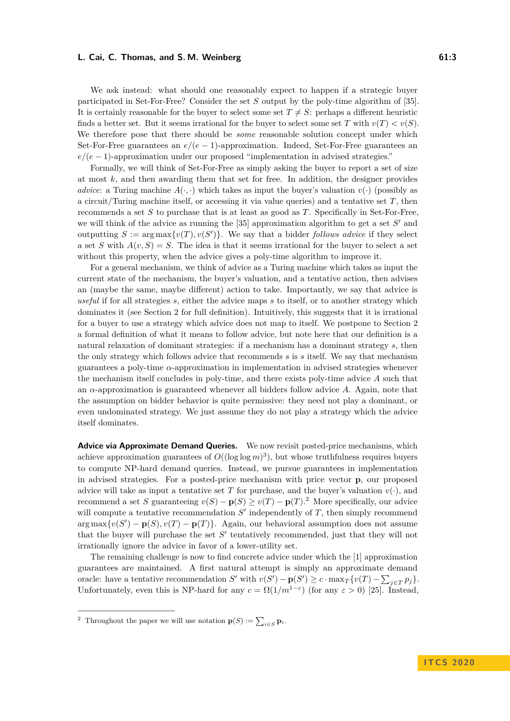We ask instead: what should one reasonably expect to happen if a strategic buyer participated in Set-For-Free? Consider the set *S* output by the poly-time algorithm of [\[35\]](#page-15-8). It is certainly reasonable for the buyer to select some set  $T \neq S$ : perhaps a different heuristic finds a better set. But it seems irrational for the buyer to select some set *T* with  $v(T) < v(S)$ . We therefore pose that there should be *some* reasonable solution concept under which Set-For-Free guarantees an  $e/(e-1)$ -approximation. Indeed, Set-For-Free guarantees an  $e/(e-1)$ -approximation under our proposed "implementation in advised strategies."

Formally, we will think of Set-For-Free as simply asking the buyer to report a set of size at most *k*, and then awarding them that set for free. In addition, the designer provides *advice*: a Turing machine  $A(\cdot, \cdot)$  which takes as input the buyer's valuation  $v(\cdot)$  (possibly as a circuit/Turing machine itself, or accessing it via value queries) and a tentative set *T*, then recommends a set *S* to purchase that is at least as good as *T*. Specifically in Set-For-Free, we will think of the advice as running the  $[35]$  approximation algorithm to get a set  $S'$  and outputting  $S := \arg \max \{v(T), v(S')\}$ . We say that a bidder *follows advice* if they select a set *S* with  $A(v, S) = S$ . The idea is that it seems irrational for the buyer to select a set without this property, when the advice gives a poly-time algorithm to improve it.

For a general mechanism, we think of advice as a Turing machine which takes as input the current state of the mechanism, the buyer's valuation, and a tentative action, then advises an (maybe the same, maybe different) action to take. Importantly, we say that advice is *useful* if for all strategies *s*, either the advice maps *s* to itself, or to another strategy which dominates it (see Section [2](#page-5-0) for full definition). Intuitively, this suggests that it is irrational for a buyer to use a strategy which advice does not map to itself. We postpone to Section [2](#page-5-0) a formal definition of what it means to follow advice, but note here that our definition is a natural relaxation of dominant strategies: if a mechanism has a dominant strategy *s*, then the only strategy which follows advice that recommends *s* is *s* itself. We say that mechanism guarantees a poly-time *α*-approximation in implementation in advised strategies whenever the mechanism itself concludes in poly-time, and there exists poly-time advice *A* such that an *α*-approximation is guaranteed whenever all bidders follow advice *A*. Again, note that the assumption on bidder behavior is quite permissive: they need not play a dominant, or even undominated strategy. We just assume they do not play a strategy which the advice itself dominates.

**Advice via Approximate Demand Queries.** We now revisit posted-price mechanisms, which achieve approximation guarantees of  $O((\log \log m)^3)$ , but whose truthfulness requires buyers to compute NP-hard demand queries. Instead, we pursue guarantees in implementation in advised strategies. For a posted-price mechanism with price vector **p**, our proposed advice will take as input a tentative set *T* for purchase, and the buyer's valuation  $v(\cdot)$ , and recommend a set *S* guaranteeing  $v(S) - \mathbf{p}(S) \ge v(T) - \mathbf{p}(T)$ .<sup>[2](#page-2-0)</sup> More specifically, our advice will compute a tentative recommendation  $S'$  independently of  $T$ , then simply recommend  $\arg \max \{v(S') - \mathbf{p}(S), v(T) - \mathbf{p}(T)\}\$ . Again, our behavioral assumption does not assume that the buyer will purchase the set  $S'$  tentatively recommended, just that they will not irrationally ignore the advice in favor of a lower-utility set.

The remaining challenge is now to find concrete advice under which the [\[1\]](#page-13-0) approximation guarantees are maintained. A first natural attempt is simply an approximate demand oracle: have a tentative recommendation *S'* with  $v(S') - p(S') \ge c \cdot \max_{T} \{v(T) - \sum_{j \in T} p_j\}.$ Unfortunately, even this is NP-hard for any  $c = \Omega(1/m^{1-\epsilon})$  (for any  $\varepsilon > 0$ ) [\[25\]](#page-15-9). Instead,

<span id="page-2-0"></span><sup>&</sup>lt;sup>2</sup> Throughout the paper we will use notation  $\mathbf{p}(S) := \sum_{i \in S} \mathbf{p}_i$ .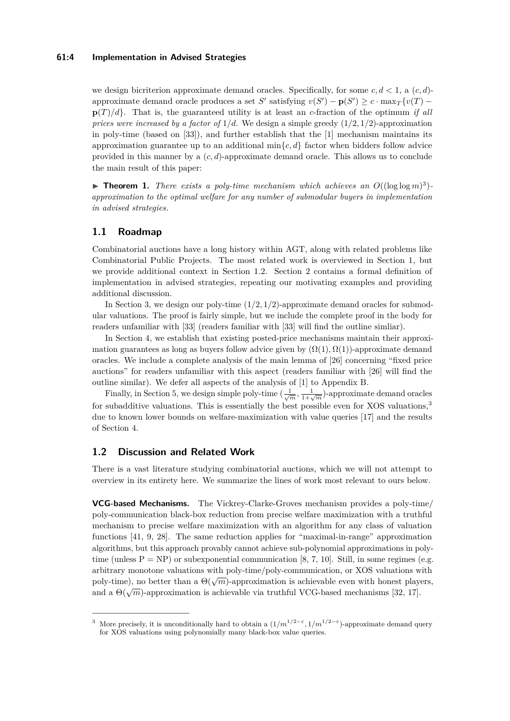### **61:4 Implementation in Advised Strategies**

we design bicriterion approximate demand oracles. Specifically, for some  $c, d < 1$ , a  $(c, d)$ approximate demand oracle produces a set *S*<sup> $\prime$ </sup> satisfying  $v(S') - p(S') \geq c \cdot \max_{T} \{v(T) - v(T')\}$  $p(T)/d$ . That is, the guaranteed utility is at least an *c*-fraction of the optimum *if all prices were increased by a factor of*  $1/d$ . We design a simple greedy  $(1/2, 1/2)$ -approximation in poly-time (based on [\[33\]](#page-15-3)), and further establish that the [\[1\]](#page-13-0) mechanism maintains its approximation guarantee up to an additional  $\min\{c, d\}$  factor when bidders follow advice provided in this manner by a (*c, d*)-approximate demand oracle. This allows us to conclude the main result of this paper:

<span id="page-3-2"></span>**Theorem 1.** *There exists a poly-time mechanism which achieves an*  $O((\log \log m)^3)$ *approximation to the optimal welfare for any number of submodular buyers in implementation in advised strategies.*

# **1.1 Roadmap**

Combinatorial auctions have a long history within AGT, along with related problems like Combinatorial Public Projects. The most related work is overviewed in Section [1,](#page-0-0) but we provide additional context in Section [1.2.](#page-3-0) Section [2](#page-5-0) contains a formal definition of implementation in advised strategies, repeating our motivating examples and providing additional discussion.

In Section [3,](#page-8-0) we design our poly-time (1*/*2*,* 1*/*2)-approximate demand oracles for submodular valuations. The proof is fairly simple, but we include the complete proof in the body for readers unfamiliar with [\[33\]](#page-15-3) (readers familiar with [\[33\]](#page-15-3) will find the outline simliar).

In Section [4,](#page-10-0) we establish that existing posted-price mechanisms maintain their approximation guarantees as long as buyers follow advice given by  $(\Omega(1), \Omega(1))$ -approximate demand oracles. We include a complete analysis of the main lemma of [\[26\]](#page-15-6) concerning "fixed price auctions" for readers unfamiliar with this aspect (readers familiar with [\[26\]](#page-15-6) will find the outline similar). We defer all aspects of the analysis of [\[1\]](#page-13-0) to Appendix [B.](#page-16-2)

Finally, in Section [5,](#page-12-0) we design simple poly-time  $(\frac{1}{\sqrt{m}}, \frac{1}{1+\sqrt{m}})$ -approximate demand oracles for subadditive valuations. This is essentially the best possible even for XOS valuations,<sup>[3](#page-3-1)</sup> due to known lower bounds on welfare-maximization with value queries [\[17\]](#page-14-8) and the results of Section [4.](#page-10-0)

### <span id="page-3-0"></span>**1.2 Discussion and Related Work**

There is a vast literature studying combinatorial auctions, which we will not attempt to overview in its entirety here. We summarize the lines of work most relevant to ours below.

**VCG-based Mechanisms.** The Vickrey-Clarke-Groves mechanism provides a poly-time/ poly-communication black-box reduction from precise welfare maximization with a truthful mechanism to precise welfare maximization with an algorithm for any class of valuation functions [\[41,](#page-16-0) [9,](#page-14-1) [28\]](#page-15-0). The same reduction applies for "maximal-in-range" approximation algorithms, but this approach provably cannot achieve sub-polynomial approximations in polytime (unless  $P = NP$ ) or subexponential communication [\[8,](#page-14-9) [7,](#page-14-10) [10\]](#page-14-11). Still, in some regimes (e.g. arbitrary monotone valuations with poly-time/poly-communication, or XOS valuations with abitary monotone valuations with poly-time/poly-communication, or XOD valuations with poly-time), no better than a  $\Theta(\sqrt{m})$ -approximation is achievable even with honest players,  $\beta$  and a  $\Theta(\sqrt{m})$ -approximation is achievable via truthful VCG-based mechanisms [\[32,](#page-15-10) [17\]](#page-14-8).

<span id="page-3-1"></span><sup>&</sup>lt;sup>3</sup> More precisely, it is unconditionally hard to obtain a  $(1/m^{1/2-\varepsilon}, 1/m^{1/2-\varepsilon})$ -approximate demand query for XOS valuations using polynomially many black-box value queries.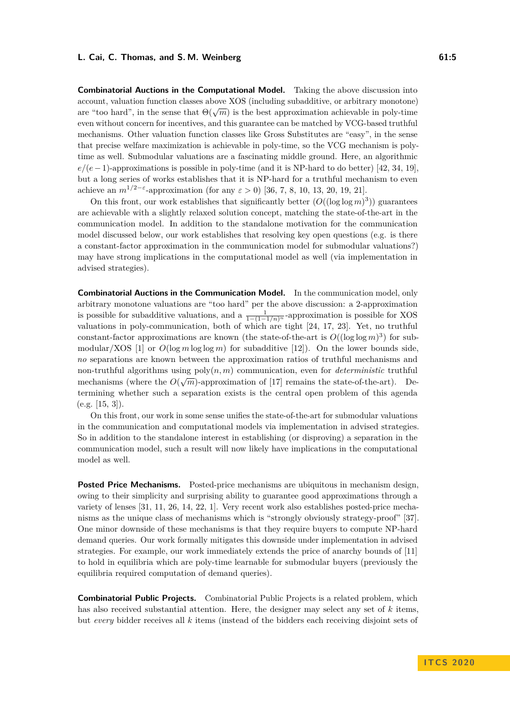**Combinatorial Auctions in the Computational Model.** Taking the above discussion into account, valuation function classes above XOS (including subadditive, or arbitrary monotone) account, vandation function classes above AOS (including subadditive, or arbitrary monotone) are "too hard", in the sense that  $\Theta(\sqrt{m})$  is the best approximation achievable in poly-time even without concern for incentives, and this guarantee can be matched by VCG-based truthful mechanisms. Other valuation function classes like Gross Substitutes are "easy", in the sense that precise welfare maximization is achievable in poly-time, so the VCG mechanism is polytime as well. Submodular valuations are a fascinating middle ground. Here, an algorithmic *e/*(*e*−1)-approximations is possible in poly-time (and it is NP-hard to do better) [\[42,](#page-16-1) [34,](#page-15-11) [19\]](#page-14-12), but a long series of works establishes that it is NP-hard for a truthful mechanism to even achieve an  $m^{1/2-\epsilon}$ -approximation (for any  $\epsilon > 0$ ) [\[36,](#page-15-12) [7,](#page-14-10) [8,](#page-14-9) [10,](#page-14-11) [13,](#page-14-13) [20,](#page-14-14) [19,](#page-14-12) [21\]](#page-14-0).

On this front, our work establishes that significantly better  $(O((\log \log m)^3))$  guarantees are achievable with a slightly relaxed solution concept, matching the state-of-the-art in the communication model. In addition to the standalone motivation for the communication model discussed below, our work establishes that resolving key open questions (e.g. is there a constant-factor approximation in the communication model for submodular valuations?) may have strong implications in the computational model as well (via implementation in advised strategies).

**Combinatorial Auctions in the Communication Model.** In the communication model, only arbitrary monotone valuations are "too hard" per the above discussion: a 2-approximation is possible for subadditive valuations, and a  $\frac{1}{1-(1-1/n)^n}$ -approximation is possible for XOS valuations in poly-communication, both of which are tight [\[24,](#page-15-4) [17,](#page-14-8) [23\]](#page-15-13). Yet, no truthful constant-factor approximations are known (the state-of-the-art is  $O((\log \log m)^3)$  for sub-modular/XOS [\[1\]](#page-13-0) or  $O(\log m \log \log m)$  for subadditive [\[12\]](#page-14-3)). On the lower bounds side, *no* separations are known between the approximation ratios of truthful mechanisms and non-truthful algorithms using  $poly(n, m)$  communication, even for *deterministic* truthful mechanisms (where the  $O(\sqrt{m})$ -approximation of [\[17\]](#page-14-8) remains the state-of-the-art). Determining whether such a separation exists is the central open problem of this agenda  $(e.g. [15, 3]).$  $(e.g. [15, 3]).$  $(e.g. [15, 3]).$  $(e.g. [15, 3]).$ 

On this front, our work in some sense unifies the state-of-the-art for submodular valuations in the communication and computational models via implementation in advised strategies. So in addition to the standalone interest in establishing (or disproving) a separation in the communication model, such a result will now likely have implications in the computational model as well.

**Posted Price Mechanisms.** Posted-price mechanisms are ubiquitous in mechanism design, owing to their simplicity and surprising ability to guarantee good approximations through a variety of lenses [\[31,](#page-15-5) [11,](#page-14-5) [26,](#page-15-6) [14,](#page-14-6) [22,](#page-14-7) [1\]](#page-13-0). Very recent work also establishes posted-price mechanisms as the unique class of mechanisms which is "strongly obviously strategy-proof" [\[37\]](#page-15-14). One minor downside of these mechanisms is that they require buyers to compute NP-hard demand queries. Our work formally mitigates this downside under implementation in advised strategies. For example, our work immediately extends the price of anarchy bounds of [\[11\]](#page-14-5) to hold in equilibria which are poly-time learnable for submodular buyers (previously the equilibria required computation of demand queries).

**Combinatorial Public Projects.** Combinatorial Public Projects is a related problem, which has also received substantial attention. Here, the designer may select any set of *k* items, but *every* bidder receives all *k* items (instead of the bidders each receiving disjoint sets of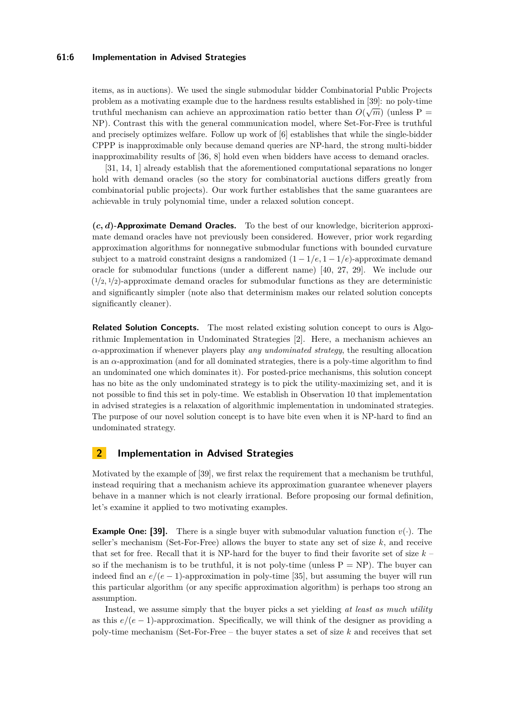### **61:6 Implementation in Advised Strategies**

items, as in auctions). We used the single submodular bidder Combinatorial Public Projects problem as a motivating example due to the hardness results established in [\[39\]](#page-15-7): no poly-time problem as a motivating example due to the naturess results established in [55]. Ho pory-time<br>truthful mechanism can achieve an approximation ratio better than  $O(\sqrt{m})$  (unless P = NP). Contrast this with the general communication model, where Set-For-Free is truthful and precisely optimizes welfare. Follow up work of [\[6\]](#page-14-15) establishes that while the single-bidder CPPP is inapproximable only because demand queries are NP-hard, the strong multi-bidder inapproximability results of [\[36,](#page-15-12) [8\]](#page-14-9) hold even when bidders have access to demand oracles.

[\[31,](#page-15-5) [14,](#page-14-6) [1\]](#page-13-0) already establish that the aforementioned computational separations no longer hold with demand oracles (so the story for combinatorial auctions differs greatly from combinatorial public projects). Our work further establishes that the same guarantees are achievable in truly polynomial time, under a relaxed solution concept.

**(***c, d***)-Approximate Demand Oracles.** To the best of our knowledge, bicriterion approximate demand oracles have not previously been considered. However, prior work regarding approximation algorithms for nonnegative submodular functions with bounded curvature subject to a matroid constraint designs a randomized  $(1 - 1/e, 1 - 1/e)$ -approximate demand oracle for submodular functions (under a different name) [\[40,](#page-16-3) [27,](#page-15-15) [29\]](#page-15-16). We include our  $(1/2, 1/2)$ -approximate demand oracles for submodular functions as they are deterministic and significantly simpler (note also that determinism makes our related solution concepts significantly cleaner).

**Related Solution Concepts.** The most related existing solution concept to ours is Algorithmic Implementation in Undominated Strategies [\[2\]](#page-13-3). Here, a mechanism achieves an *α*-approximation if whenever players play *any undominated strategy*, the resulting allocation is an *α*-approximation (and for all dominated strategies, there is a poly-time algorithm to find an undominated one which dominates it). For posted-price mechanisms, this solution concept has no bite as the only undominated strategy is to pick the utility-maximizing set, and it is not possible to find this set in poly-time. We establish in Observation [10](#page-8-1) that implementation in advised strategies is a relaxation of algorithmic implementation in undominated strategies. The purpose of our novel solution concept is to have bite even when it is NP-hard to find an undominated strategy.

# <span id="page-5-0"></span>**2 Implementation in Advised Strategies**

Motivated by the example of [\[39\]](#page-15-7), we first relax the requirement that a mechanism be truthful, instead requiring that a mechanism achieve its approximation guarantee whenever players behave in a manner which is not clearly irrational. Before proposing our formal definition, let's examine it applied to two motivating examples.

**Example One: [\[39\]](#page-15-7).** There is a single buyer with submodular valuation function  $v(\cdot)$ . The seller's mechanism (Set-For-Free) allows the buyer to state any set of size *k*, and receive that set for free. Recall that it is NP-hard for the buyer to find their favorite set of size *k* – so if the mechanism is to be truthful, it is not poly-time (unless  $P = NP$ ). The buyer can indeed find an  $e/(e-1)$ -approximation in poly-time [\[35\]](#page-15-8), but assuming the buyer will run this particular algorithm (or any specific approximation algorithm) is perhaps too strong an assumption.

Instead, we assume simply that the buyer picks a set yielding *at least as much utility* as this  $e/(e-1)$ -approximation. Specifically, we will think of the designer as providing a poly-time mechanism (Set-For-Free – the buyer states a set of size *k* and receives that set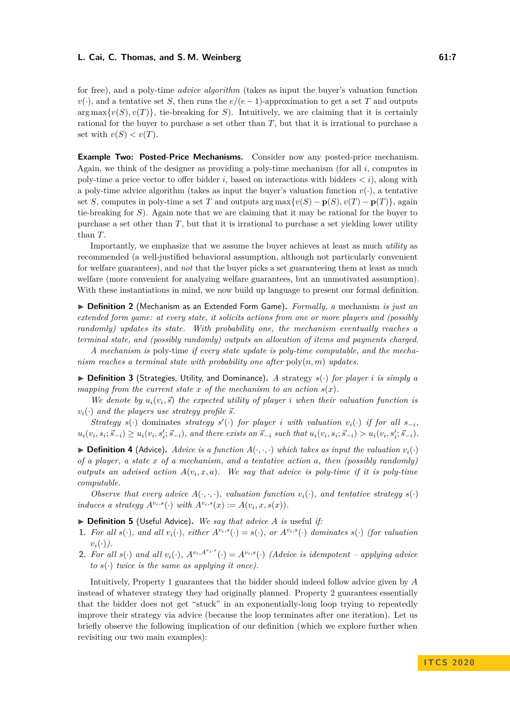for free), and a poly-time *advice algorithm* (takes as input the buyer's valuation function  $v(\cdot)$ , and a tentative set *S*, then runs the  $e/(e-1)$ -approximation to get a set *T* and outputs  $\arg \max \{v(S), v(T)\}\$ , tie-breaking for *S*). Intuitively, we are claiming that it is certainly rational for the buyer to purchase a set other than *T*, but that it is irrational to purchase a set with  $v(S) < v(T)$ .

**Example Two: Posted-Price Mechanisms.** Consider now any posted-price mechanism. Again, we think of the designer as providing a poly-time mechanism (for all *i*, computes in poly-time a price vector to offer bidder  $i$ , based on interactions with bidders *), along with* a poly-time advice algorithm (takes as input the buyer's valuation function  $v(\cdot)$ , a tentative set *S*, computes in poly-time a set *T* and outputs arg max $\{v(S) - \mathbf{p}(S), v(T) - \mathbf{p}(T)\}\)$ , again tie-breaking for *S*). Again note that we are claiming that it may be rational for the buyer to purchase a set other than *T*, but that it is irrational to purchase a set yielding lower utility than *T*.

Importantly, we emphasize that we assume the buyer achieves at least as much *utility* as recommended (a well-justified behavioral assumption, although not particularly convenient for welfare guarantees), and *not* that the buyer picks a set guaranteeing them at least as much welfare (more convenient for analyzing welfare guarantees, but an unmotivated assumption). With these instantiations in mind, we now build up language to present our formal definition.

▶ **Definition 2** (Mechanism as an Extended Form Game). *Formally, a* mechanism *is just an extended form game: at every state, it solicits actions from one or more players and (possibly randomly) updates its state. With probability one, the mechanism eventually reaches a terminal state, and (possibly randomly) outputs an allocation of items and payments charged.*

*A mechanism is* poly-time *if every state update is poly-time computable, and the mechanism reaches a terminal state with probability one after* poly(*n, m*) *updates.*

 $\triangleright$  **Definition 3** (Strategies, Utility, and Dominance). A strategy  $s(\cdot)$  for player *i* is simply a *mapping from the current state*  $x$  *of the mechanism to an action*  $s(x)$ *.* 

*We denote by*  $u_i(v_i, \vec{s})$  *the expected utility of player <i>i* when their valuation function is  $v_i(\cdot)$  *and the players use strategy profile*  $\vec{s}$ *.* 

*Strategy*  $s(·)$  dominates *strategy*  $s'(·)$  *for player i with valuation*  $v_i(·)$  *if for all*  $s_{-i}$ *,*  $u_i(v_i, s_i; \vec{s}_{-i}) \ge u_i(v_i, s_i'; \vec{s}_{-i}),$  and there exists an  $\vec{s}_{-i}$  such that  $u_i(v_i, s_i; \vec{s}_{-i}) > u_i(v_i, s_i'; \vec{s}_{-i}).$ 

**Definition 4** (Advice). Advice is a function  $A(\cdot, \cdot, \cdot)$  which takes as input the valuation  $v_i(\cdot)$ *of a player, a state x of a mechanism, and a tentative action a, then (possibly randomly) outputs an advised action*  $A(v_i, x, a)$ *. We say that advice is poly-time if it is poly-time computable.*

*Observe that every advice*  $A(\cdot, \cdot, \cdot)$ *, valuation function*  $v_i(\cdot)$ *, and tentative strategy*  $s(\cdot)$ *induces a strategy*  $A^{v_i,s}(\cdot)$  *with*  $A^{v_i,s}(x) := A(v_i, x, s(x))$ *.* 

- <span id="page-6-1"></span> $\triangleright$  **Definition 5** (Useful Advice). We say that advice A is useful if:
- 1. For all  $s(\cdot)$ , and all  $v_i(\cdot)$ , either  $A^{v_i,s}(\cdot) = s(\cdot)$ , or  $A^{v_i,s}(\cdot)$  dominates  $s(\cdot)$  (for valuation  $v_i(\cdot)$ .
- **2.** For all  $s(\cdot)$  and all  $v_i(\cdot)$ ,  $A^{v_i, A^{v_i, s}}(\cdot) = A^{v_i, s}(\cdot)$  (Advice is idempotent applying advice *to*  $s(\cdot)$  *twice is the same as applying it once*).

<span id="page-6-0"></span>Intuitively, Property 1 guarantees that the bidder should indeed follow advice given by *A* instead of whatever strategy they had originally planned. Property 2 guarantees essentially that the bidder does not get "stuck" in an exponentially-long loop trying to repeatedly improve their strategy via advice (because the loop terminates after one iteration). Let us briefly observe the following implication of our definition (which we explore further when revisiting our two main examples):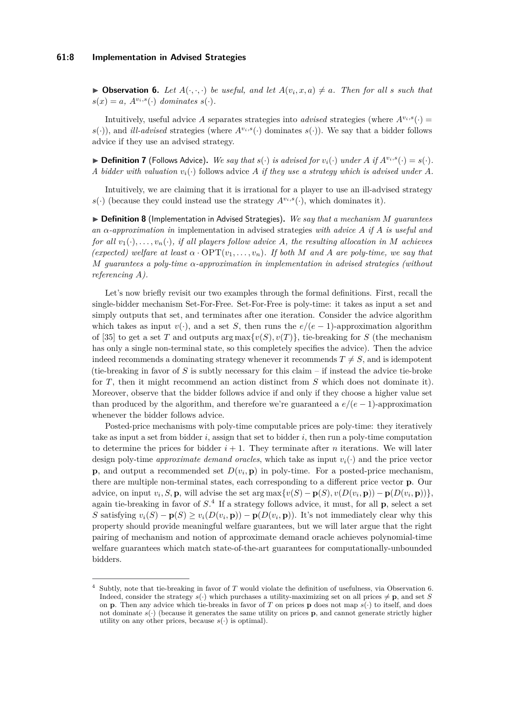### **61:8 Implementation in Advised Strategies**

 $\triangleright$  **Observation 6.** Let  $A(\cdot, \cdot, \cdot)$  be useful, and let  $A(v_i, x, a) \neq a$ . Then for all *s* such that  $s(x) = a$ ,  $A^{v_i,s}(\cdot)$  *dominates*  $s(\cdot)$ *.* 

Intuitively, useful advice *A* separates strategies into *advised* strategies (where  $A^{v_i,s}(\cdot)$ )  $s(\cdot)$ , and *ill-advised* strategies (where  $A^{v_i,s}(\cdot)$  dominates  $s(\cdot)$ ). We say that a bidder follows advice if they use an advised strategy.

 $\blacktriangleright$  **Definition 7** (Follows Advice). We say that  $s(\cdot)$  is advised for  $v_i(\cdot)$  under A if  $A^{v_i,s}(\cdot) = s(\cdot)$ . *A* bidder with valuation  $v_i(\cdot)$  follows advice *A* if they use a strategy which is advised under *A*.

Intuitively, we are claiming that it is irrational for a player to use an ill-advised strategy  $s(\cdot)$  (because they could instead use the strategy  $A^{v_i,s}(\cdot)$ , which dominates it).

I **Definition 8** (Implementation in Advised Strategies)**.** *We say that a mechanism M guarantees an α-approximation in* implementation in advised strategies *with advice A if A is useful and for all*  $v_1(\cdot), \ldots, v_n(\cdot)$ *, if all players follow advice A, the resulting allocation in M achieves (expected) welfare at least*  $\alpha \cdot \text{OPT}(v_1, \ldots, v_n)$ . If both M and A are poly-time, we say that *M guarantees a poly-time α-approximation in implementation in advised strategies (without referencing A).*

Let's now briefly revisit our two examples through the formal definitions. First, recall the single-bidder mechanism Set-For-Free. Set-For-Free is poly-time: it takes as input a set and simply outputs that set, and terminates after one iteration. Consider the advice algorithm which takes as input  $v(\cdot)$ , and a set *S*, then runs the  $e/(e-1)$ -approximation algorithm of [\[35\]](#page-15-8) to get a set *T* and outputs arg max $\{v(S), v(T)\}\$ , tie-breaking for *S* (the mechanism has only a single non-terminal state, so this completely specifies the advice). Then the advice indeed recommends a dominating strategy whenever it recommends  $T \neq S$ , and is idempotent (tie-breaking in favor of  $S$  is subtly necessary for this claim  $-$  if instead the advice tie-broke for *T*, then it might recommend an action distinct from *S* which does not dominate it). Moreover, observe that the bidder follows advice if and only if they choose a higher value set than produced by the algorithm, and therefore we're guaranteed a  $e/(e-1)$ -approximation whenever the bidder follows advice.

Posted-price mechanisms with poly-time computable prices are poly-time: they iteratively take as input a set from bidder *i*, assign that set to bidder *i*, then run a poly-time computation to determine the prices for bidder  $i + 1$ . They terminate after *n* iterations. We will later design poly-time *approximate demand oracles*, which take as input  $v_i(\cdot)$  and the price vector **p**, and output a recommended set  $D(v_i, \mathbf{p})$  in poly-time. For a posted-price mechanism, there are multiple non-terminal states, each corresponding to a different price vector **p**. Our advice, on input  $v_i$ , S, **p**, will advise the set  $\arg \max \{v(S) - \mathbf{p}(S), v(D(v_i, \mathbf{p})) - \mathbf{p}(D(v_i, \mathbf{p}))\},$ again tie-breaking in favor of *S*. [4](#page-7-0) If a strategy follows advice, it must, for all **p**, select a set S satisfying  $v_i(S) - \mathbf{p}(S) \ge v_i(D(v_i, \mathbf{p})) - \mathbf{p}(D(v_i, \mathbf{p}))$ . It's not immediately clear why this property should provide meaningful welfare guarantees, but we will later argue that the right pairing of mechanism and notion of approximate demand oracle achieves polynomial-time welfare guarantees which match state-of-the-art guarantees for computationally-unbounded bidders.

<span id="page-7-0"></span><sup>4</sup> Subtly, note that tie-breaking in favor of *T* would violate the definition of usefulness, via Observation [6.](#page-6-0) Indeed, consider the strategy  $s(\cdot)$  which purchases a utility-maximizing set on all prices  $\neq$  **p**, and set *S* on **p**. Then any advice which tie-breaks in favor of *T* on prices **p** does not map  $s(\cdot)$  to itself, and does not dominate  $s(\cdot)$  (because it generates the same utility on prices **p**, and cannot generate strictly higher utility on any other prices, because  $s(\cdot)$  is optimal).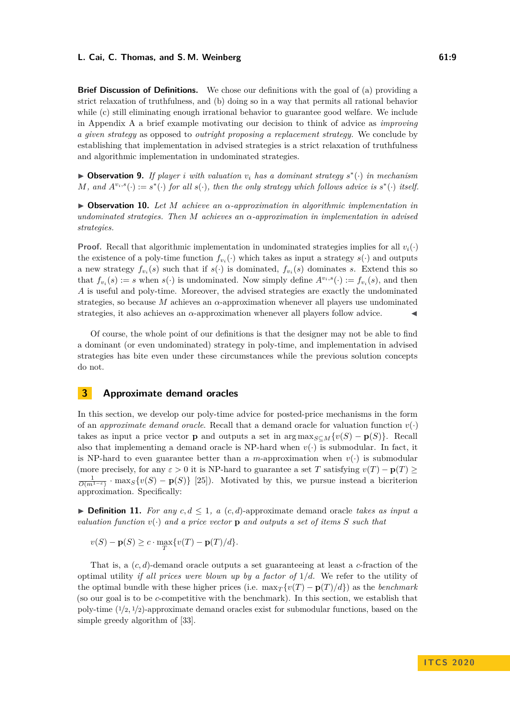**Brief Discussion of Definitions.** We chose our definitions with the goal of (a) providing a strict relaxation of truthfulness, and (b) doing so in a way that permits all rational behavior while (c) still eliminating enough irrational behavior to guarantee good welfare. We include in Appendix [A](#page-16-4) a brief example motivating our decision to think of advice as *improving a given strategy* as opposed to *outright proposing a replacement strategy.* We conclude by establishing that implementation in advised strategies is a strict relaxation of truthfulness and algorithmic implementation in undominated strategies.

I **Observation 9.** *If player i with valuation v<sup>i</sup> has a dominant strategy s* ∗ (·) *in mechanism M*, and  $A^{v_i,s}(\cdot) := s^*(\cdot)$  for all  $s(\cdot)$ , then the only strategy which follows advice is  $s^*(\cdot)$  itself.

<span id="page-8-1"></span>I **Observation 10.** *Let M achieve an α-approximation in algorithmic implementation in undominated strategies. Then M achieves an α-approximation in implementation in advised strategies.*

**Proof.** Recall that algorithmic implementation in undominated strategies implies for all  $v_i(\cdot)$ the existence of a poly-time function  $f_{v_i}(\cdot)$  which takes as input a strategy  $s(\cdot)$  and outputs a new strategy  $f_{v_i}(s)$  such that if  $s(\cdot)$  is dominated,  $f_{v_i}(s)$  dominates *s*. Extend this so that  $f_{v_i}(s) := s$  when  $s(\cdot)$  is undominated. Now simply define  $A^{v_i,s}(\cdot) := f_{v_i}(s)$ , and then *A* is useful and poly-time. Moreover, the advised strategies are exactly the undominated strategies, so because *M* achieves an *α*-approximation whenever all players use undominated strategies, it also achieves an *α*-approximation whenever all players follow advice. J

Of course, the whole point of our definitions is that the designer may not be able to find a dominant (or even undominated) strategy in poly-time, and implementation in advised strategies has bite even under these circumstances while the previous solution concepts do not.

# <span id="page-8-0"></span>**3 Approximate demand oracles**

In this section, we develop our poly-time advice for posted-price mechanisms in the form of an *approximate demand oracle*. Recall that a demand oracle for valuation function  $v(\cdot)$ takes as input a price vector **p** and outputs a set in  $\arg \max_{S \subset M} \{v(S) - \mathbf{p}(S)\}\$ . Recall also that implementing a demand oracle is NP-hard when  $v(\cdot)$  is submodular. In fact, it is NP-hard to even guarantee better than a *m*-approximation when  $v(\cdot)$  is submodular (more precisely, for any  $\varepsilon > 0$  it is NP-hard to guarantee a set *T* satisfying  $v(T) - p(T) \ge$  $\frac{1}{O(m^{1-\epsilon})}$  · max<sub>*S*</sub>{*v*(*S*) – **p**(*S*)} [\[25\]](#page-15-9)). Motivated by this, we pursue instead a bicriterion approximation. Specifically:

▶ **Definition 11.** *For any*  $c, d \leq 1$ , a  $(c, d)$ -approximate demand oracle *takes as input a valuation function*  $v(\cdot)$  *and a price vector* **p** *and outputs a set of items S such that* 

 $v(S) - p(S) \ge c \cdot \max_{T} \{v(T) - p(T)/d\}.$ 

That is, a (*c, d*)-demand oracle outputs a set guaranteeing at least a *c*-fraction of the optimal utility *if all prices were blown up by a factor of* 1*/d*. We refer to the utility of the optimal bundle with these higher prices (i.e.  $\max_{T} \{v(T) - p(T)/d\}$ ) as the *benchmark* (so our goal is to be *c*-competitive with the benchmark). In this section, we establish that poly-time ( <sup>1</sup>*/*2*,* <sup>1</sup>*/*2)-approximate demand oracles exist for submodular functions, based on the simple greedy algorithm of [\[33\]](#page-15-3).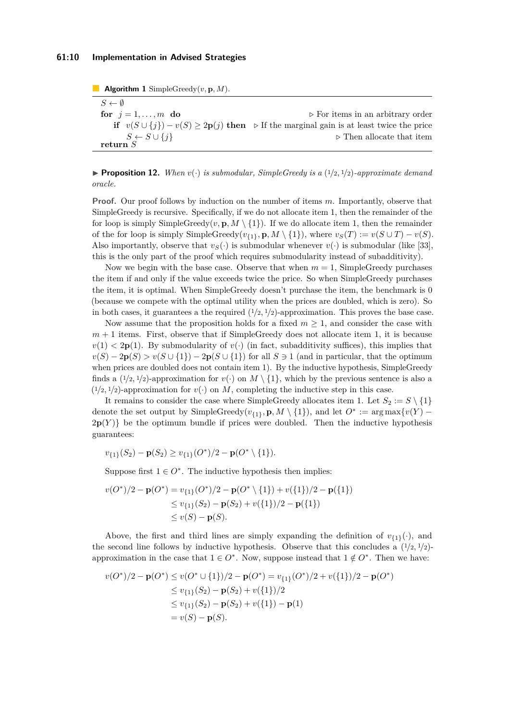### **61:10 Implementation in Advised Strategies**

**Algorithm 1** SimpleGreedy(*v,* **p***, M*).  $S \leftarrow \emptyset$ **for**  $j = 1, \ldots, m$  **do**  $\triangleright$  For items in an arbitrary order **if**  $v(S \cup \{j\}) - v(S) \geq 2p(j)$  **then**  $\triangleright$  If the marginal gain is at least twice the price  $S \leftarrow S \cup \{j\}$  > Then allocate that item **return** *S*

**• Proposition 12.** When  $v(\cdot)$  is submodular, SimpleGreedy is a  $(1/2, 1/2)$ -approximate demand *oracle.*

**Proof.** Our proof follows by induction on the number of items *m*. Importantly, observe that SimpleGreedy is recursive. Specifically, if we do not allocate item 1, then the remainder of the for loop is simply SimpleGreedy( $v, \mathbf{p}, M \setminus \{1\}$ ). If we do allocate item 1, then the remainder of the for loop is simply SimpleGreedy( $v_{\{1\}}, p, M \setminus \{1\}$ ), where  $v_S(T) := v(S \cup T) - v(S)$ . Also importantly, observe that  $v_S(\cdot)$  is submodular whenever  $v(\cdot)$  is submodular (like [\[33\]](#page-15-3), this is the only part of the proof which requires submodularity instead of subadditivity).

Now we begin with the base case. Observe that when  $m = 1$ , SimpleGreedy purchases the item if and only if the value exceeds twice the price. So when SimpleGreedy purchases the item, it is optimal. When SimpleGreedy doesn't purchase the item, the benchmark is 0 (because we compete with the optimal utility when the prices are doubled, which is zero). So in both cases, it guarantees a the required  $(1/2, 1/2)$ -approximation. This proves the base case.

Now assume that the proposition holds for a fixed  $m \geq 1$ , and consider the case with  $m+1$  items. First, observe that if SimpleGreedy does not allocate item 1, it is because  $v(1) < 2p(1)$ . By submodularity of  $v(\cdot)$  (in fact, subadditivity suffices), this implies that  $v(S) - 2p(S) > v(S \cup \{1\}) - 2p(S \cup \{1\})$  for all  $S \ni 1$  (and in particular, that the optimum when prices are doubled does not contain item 1). By the inductive hypothesis, SimpleGreedy finds a  $(1/2, 1/2)$ -approximation for  $v(\cdot)$  on  $M \setminus \{1\}$ , which by the previous sentence is also a  $(1/2, 1/2)$ -approximation for  $v(\cdot)$  on *M*, completing the inductive step in this case.

It remains to consider the case where SimpleGreedy allocates item 1. Let  $S_2 := S \setminus \{1\}$ denote the set output by SimpleGreedy $(v_{\{1\}}, \mathbf{p}, M \setminus \{1\})$ , and let  $O^* := \arg \max \{v(Y) 2p(Y)$  be the optimum bundle if prices were doubled. Then the inductive hypothesis guarantees:

$$
v_{\{1\}}(S_2) - \mathbf{p}(S_2) \ge v_{\{1\}}(O^*)/2 - \mathbf{p}(O^* \setminus \{1\}).
$$

Suppose first  $1 \in O^*$ . The inductive hypothesis then implies:

$$
v(O^*)/2 - \mathbf{p}(O^*) = v_{\{1\}}(O^*)/2 - \mathbf{p}(O^* \setminus \{1\}) + v(\{1\})/2 - \mathbf{p}(\{1\})
$$
  
\n
$$
\leq v_{\{1\}}(S_2) - \mathbf{p}(S_2) + v(\{1\})/2 - \mathbf{p}(\{1\})
$$
  
\n
$$
\leq v(S) - \mathbf{p}(S).
$$

Above, the first and third lines are simply expanding the definition of  $v_{\{1\}}(\cdot)$ , and the second line follows by inductive hypothesis. Observe that this concludes a  $(1/2, 1/2)$ approximation in the case that  $1 \in O^*$ . Now, suppose instead that  $1 \notin O^*$ . Then we have:

$$
v(O^*)/2 - \mathbf{p}(O^*) \le v(O^* \cup \{1\})/2 - \mathbf{p}(O^*) = v_{\{1\}}(O^*)/2 + v(\{1\})/2 - \mathbf{p}(O^*)
$$
  
\n
$$
\le v_{\{1\}}(S_2) - \mathbf{p}(S_2) + v(\{1\})/2
$$
  
\n
$$
\le v_{\{1\}}(S_2) - \mathbf{p}(S_2) + v(\{1\}) - \mathbf{p}(1)
$$
  
\n
$$
= v(S) - \mathbf{p}(S).
$$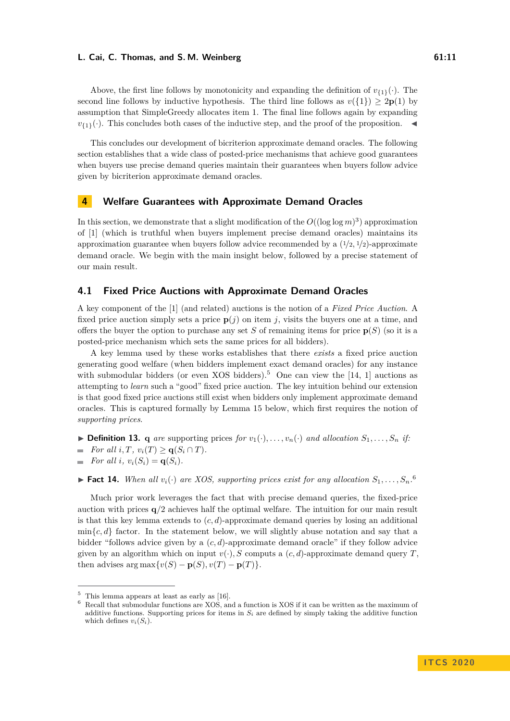Above, the first line follows by monotonicity and expanding the definition of  $v_{(1)}(\cdot)$ . The second line follows by inductive hypothesis. The third line follows as  $v({1}) \geq 2p(1)$  by assumption that SimpleGreedy allocates item 1. The final line follows again by expanding  $v_{1}(\cdot)$ . This concludes both cases of the inductive step, and the proof of the proposition.

This concludes our development of bicriterion approximate demand oracles. The following section establishes that a wide class of posted-price mechanisms that achieve good guarantees when buyers use precise demand queries maintain their guarantees when buyers follow advice given by bicriterion approximate demand oracles.

# <span id="page-10-0"></span>**4 Welfare Guarantees with Approximate Demand Oracles**

In this section, we demonstrate that a slight modification of the  $O((\log \log m)^3)$  approximation of [\[1\]](#page-13-0) (which is truthful when buyers implement precise demand oracles) maintains its approximation guarantee when buyers follow advice recommended by a  $\left(\frac{1}{2}, \frac{1}{2}\right)$ -approximate demand oracle. We begin with the main insight below, followed by a precise statement of our main result.

### **4.1 Fixed Price Auctions with Approximate Demand Oracles**

A key component of the [\[1\]](#page-13-0) (and related) auctions is the notion of a *Fixed Price Auction*. A fixed price auction simply sets a price  $p(j)$  on item *j*, visits the buyers one at a time, and offers the buyer the option to purchase any set *S* of remaining items for price  $p(S)$  (so it is a posted-price mechanism which sets the same prices for all bidders).

A key lemma used by these works establishes that there *exists* a fixed price auction generating good welfare (when bidders implement exact demand oracles) for any instance with submodular bidders (or even XOS bidders).<sup>[5](#page-10-1)</sup> One can view the [\[14,](#page-14-6) [1\]](#page-13-0) auctions as attempting to *learn* such a "good" fixed price auction. The key intuition behind our extension is that good fixed price auctions still exist when bidders only implement approximate demand oracles. This is captured formally by Lemma [15](#page-10-2) below, which first requires the notion of *supporting prices*.

<span id="page-10-4"></span> $\triangleright$  **Definition 13. q** *are* supporting prices *for*  $v_1(\cdot), \ldots, v_n(\cdot)$  *and allocation*  $S_1, \ldots, S_n$  *if:* 

*For all*  $i, T, v_i(T) > q(S_i \cap T)$ .

*For all i*,  $v_i(S_i) = \mathbf{q}(S_i)$ .  $\overline{\phantom{a}}$ 

**Fact 14.** When all  $v_i(\cdot)$  are XOS, supporting prices exist for any allocation  $S_1, \ldots, S_n$ .<sup>[6](#page-10-3)</sup>

Much prior work leverages the fact that with precise demand queries, the fixed-price auction with prices  $q/2$  achieves half the optimal welfare. The intuition for our main result is that this key lemma extends to (*c, d*)-approximate demand queries by losing an additional  $\min\{c, d\}$  factor. In the statement below, we will slightly abuse notation and say that a bidder "follows advice given by a (*c, d*)-approximate demand oracle" if they follow advice given by an algorithm which on input  $v(\cdot)$ *, S* computs a  $(c, d)$ -approximate demand query *T*, then advises  $\arg \max \{v(S) - p(S), v(T) - p(T)\}.$ 

<span id="page-10-2"></span><span id="page-10-1"></span> $5$  This lemma appears at least as early as [\[16\]](#page-14-16).

<span id="page-10-3"></span><sup>6</sup> Recall that submodular functions are XOS, and a function is XOS if it can be written as the maximum of additive functions. Supporting prices for items in  $S_i$  are defined by simply taking the additive function which defines  $v_i(S_i)$ .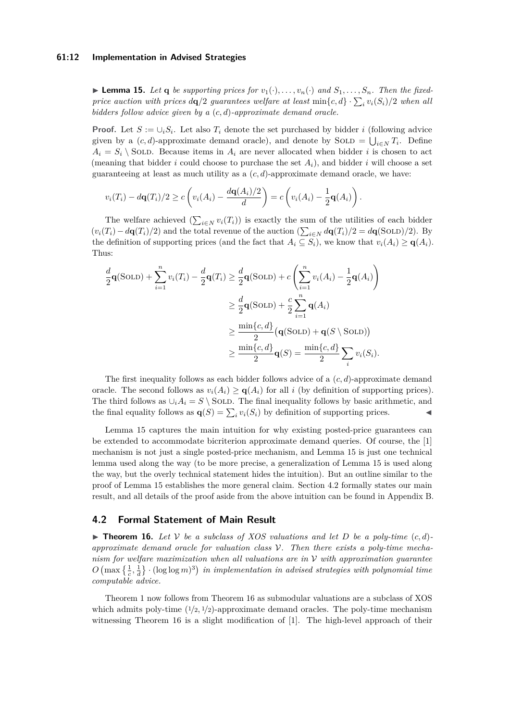### **61:12 Implementation in Advised Strategies**

**Example 15.** Let **q** be supporting prices for  $v_1(\cdot), \ldots, v_n(\cdot)$  and  $S_1, \ldots, S_n$ . Then the fixed*price auction with prices*  $d\mathbf{q}/2$  *guarantees welfare at least*  $\min\{c, d\} \cdot \sum_i v_i(S_i)/2$  *when all bidders follow advice given by a* (*c, d*)*-approximate demand oracle.*

**Proof.** Let  $S := \bigcup_i S_i$ . Let also  $T_i$  denote the set purchased by bidder *i* (following advice given by a  $(c, d)$ -approximate demand oracle), and denote by SOLD =  $\bigcup_{i \in N} T_i$ . Define  $A_i = S_i \setminus$  SOLD. Because items in  $A_i$  are never allocated when bidder *i* is chosen to act (meaning that bidder *i* could choose to purchase the set  $A_i$ ), and bidder *i* will choose a set guaranteeing at least as much utility as a  $(c, d)$ -approximate demand oracle, we have:

$$
v_i(T_i) - d\mathbf{q}(T_i)/2 \ge c\left(v_i(A_i) - \frac{d\mathbf{q}(A_i)/2}{d}\right) = c\left(v_i(A_i) - \frac{1}{2}\mathbf{q}(A_i)\right).
$$

The welfare achieved  $(\sum_{i \in N} v_i(T_i))$  is exactly the sum of the utilities of each bidder  $(v_i(T_i) - d\mathbf{q}(T_i)/2)$  and the total revenue of the auction  $(\sum_{i \in N} d\mathbf{q}(T_i)/2 = d\mathbf{q}(\text{SOLD})/2)$ . By the definition of supporting prices (and the fact that  $A_i \subseteq S_i$ ), we know that  $v_i(A_i) \geq \mathbf{q}(A_i)$ . Thus:

$$
\frac{d}{2}\mathbf{q}(\text{SOLD}) + \sum_{i=1}^{n} v_i(T_i) - \frac{d}{2}\mathbf{q}(T_i) \ge \frac{d}{2}\mathbf{q}(\text{SOLD}) + c\left(\sum_{i=1}^{n} v_i(A_i) - \frac{1}{2}\mathbf{q}(A_i)\right)
$$
\n
$$
\ge \frac{d}{2}\mathbf{q}(\text{SOLD}) + \frac{c}{2}\sum_{i=1}^{n}\mathbf{q}(A_i)
$$
\n
$$
\ge \frac{\min\{c, d\}}{2}\left(\mathbf{q}(\text{SOLD}) + \mathbf{q}(S \setminus \text{SOLD})\right)
$$
\n
$$
\ge \frac{\min\{c, d\}}{2}\mathbf{q}(S) = \frac{\min\{c, d\}}{2}\sum_{i} v_i(S_i).
$$

The first inequality follows as each bidder follows advice of a (*c, d*)-approximate demand oracle. The second follows as  $v_i(A_i) \geq \mathbf{q}(A_i)$  for all *i* (by definition of supporting prices). The third follows as  $\cup_i A_i = S \setminus$  SOLD. The final inequality follows by basic arithmetic, and the final equality follows as  $\mathbf{q}(S) = \sum_i v_i(S_i)$  by definition of supporting prices.

Lemma [15](#page-10-2) captures the main intuition for why existing posted-price guarantees can be extended to accommodate bicriterion approximate demand queries. Of course, the [\[1\]](#page-13-0) mechanism is not just a single posted-price mechanism, and Lemma [15](#page-10-2) is just one technical lemma used along the way (to be more precise, a generalization of Lemma [15](#page-10-2) is used along the way, but the overly technical statement hides the intuition). But an outline similar to the proof of Lemma [15](#page-10-2) establishes the more general claim. Section [4.2](#page-11-0) formally states our main result, and all details of the proof aside from the above intuition can be found in Appendix [B.](#page-16-2)

### <span id="page-11-0"></span>**4.2 Formal Statement of Main Result**

<span id="page-11-1"></span> $\triangleright$  **Theorem 16.** Let V be a subclass of XOS valuations and let D be a poly-time  $(c, d)$ *approximate demand oracle for valuation class* V*. Then there exists a poly-time mechanism for welfare maximization when all valuations are in* V *with approximation guarantee*  $O\left(\max\left\{\frac{1}{c},\frac{1}{d}\right\}\right)$  (log log *m*)<sup>3</sup>) in implementation in advised strategies with polynomial time *computable advice.*

Theorem [1](#page-3-2) now follows from Theorem [16](#page-11-1) as submodular valuations are a subclass of XOS which admits poly-time  $(1/2, 1/2)$ -approximate demand oracles. The poly-time mechanism witnessing Theorem [16](#page-11-1) is a slight modification of [\[1\]](#page-13-0). The high-level approach of their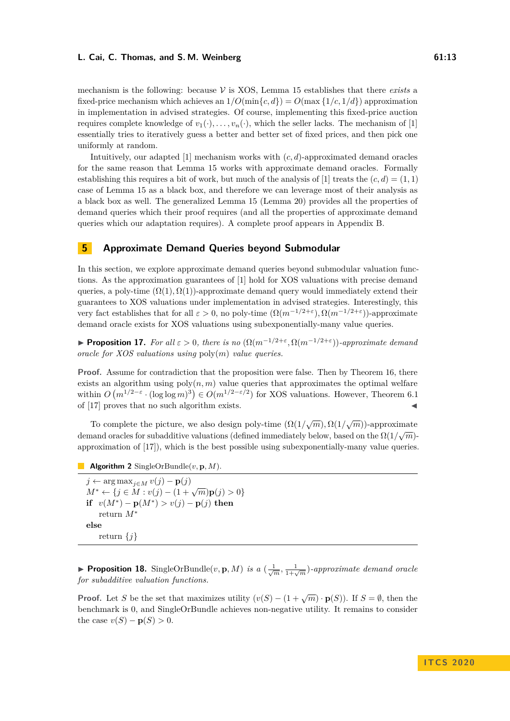mechanism is the following: because  $\mathcal V$  is XOS, Lemma [15](#page-10-2) establishes that there *exists* a fixed-price mechanism which achieves an  $1/O(\min\{c, d\}) = O(\max\{1/c, 1/d\})$  approximation in implementation in advised strategies. Of course, implementing this fixed-price auction requires complete knowledge of  $v_1(\cdot), \ldots, v_n(\cdot)$ , which the seller lacks. The mechanism of [\[1\]](#page-13-0) essentially tries to iteratively guess a better and better set of fixed prices, and then pick one uniformly at random.

Intuitively, our adapted [\[1\]](#page-13-0) mechanism works with (*c, d*)-approximated demand oracles for the same reason that Lemma [15](#page-10-2) works with approximate demand oracles. Formally establishing this requires a bit of work, but much of the analysis of [\[1\]](#page-13-0) treats the  $(c, d) = (1, 1)$ case of Lemma [15](#page-10-2) as a black box, and therefore we can leverage most of their analysis as a black box as well. The generalized Lemma [15](#page-10-2) (Lemma [20\)](#page-17-0) provides all the properties of demand queries which their proof requires (and all the properties of approximate demand queries which our adaptation requires). A complete proof appears in Appendix [B.](#page-16-2)

# <span id="page-12-0"></span>**5 Approximate Demand Queries beyond Submodular**

In this section, we explore approximate demand queries beyond submodular valuation functions. As the approximation guarantees of [\[1\]](#page-13-0) hold for XOS valuations with precise demand queries, a poly-time  $(\Omega(1), \Omega(1))$ -approximate demand query would immediately extend their guarantees to XOS valuations under implementation in advised strategies. Interestingly, this very fact establishes that for all *ε >* 0, no poly-time (Ω(*m*<sup>−</sup>1*/*2+*<sup>ε</sup>* )*,* Ω(*m*<sup>−</sup>1*/*2+*<sup>ε</sup>* ))-approximate demand oracle exists for XOS valuations using subexponentially-many value queries.

**► Proposition 17.** For all  $ε > 0$ , there is no  $(Ω(m^{-1/2+ε}, Ω(m^{-1/2+ε}))$ -approximate demand *oracle for XOS valuations using* poly(*m*) *value queries.*

**Proof.** Assume for contradiction that the proposition were false. Then by Theorem [16,](#page-11-1) there exists an algorithm using  $poly(n, m)$  value queries that approximates the optimal welfare within  $O(m^{1/2-\epsilon} \cdot (\log \log m)^3) \in O(m^{1/2-\epsilon/2})$  for XOS valuations. However, Theorem 6.1 of [\[17\]](#page-14-8) proves that no such algorithm exists.

To complete the picture, we also design poly-time  $(\Omega(1/\sqrt{m}), \Omega(1/\sqrt{m}))$ -approximate demand oracles for subadditive valuations (defined immediately below, based on the Ω(1*/ m*) approximation of [\[17\]](#page-14-8)), which is the best possible using subexponentially-many value queries.

**Algorithm 2** SingleOrBundle(*v,* **p***, M*).

*j* ← arg max<sub>*j*∈*M*</sub>  $v(j) - p(j)$ *M*<sup>∗</sup> ← {*j* ∈ *M* : *v*(*j*) − (1 +  $\sqrt{m}$ )**p**(*j*) > 0} **if**  $v(M^*) - p(M^*) > v(j) - p(j)$  then return *M*<sup>∗</sup> **else** return {*j*}

**Proposition 18.** SingleOrBundle $(v, \mathbf{p}, M)$  *is a*  $(\frac{1}{\sqrt{m}}, \frac{1}{1+\sqrt{m}})$ *-approximate demand oracle for subadditive valuation functions.*

**Proof.** Let *S* be the set that maximizes utility  $(v(S) - (1 + \sqrt{m}) \cdot \mathbf{p}(S))$ . If  $S = \emptyset$ , then the benchmark is 0, and SingleOrBundle achieves non-negative utility. It remains to consider the case  $v(S) - p(S) > 0$ .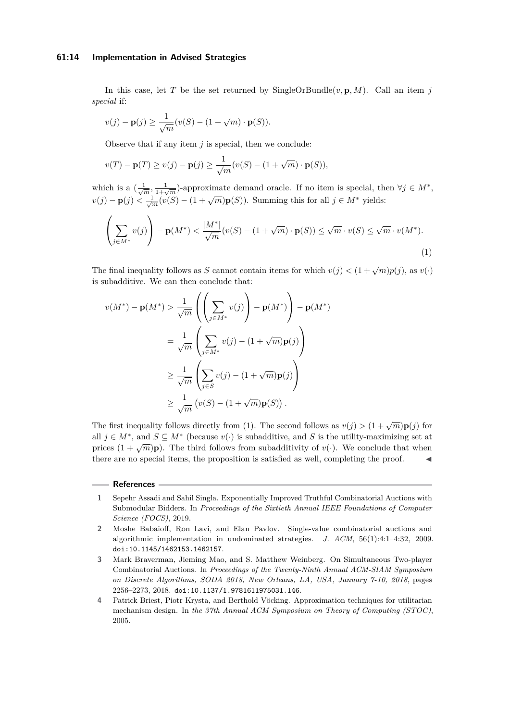### **61:14 Implementation in Advised Strategies**

In this case, let *T* be the set returned by SingleOrBundle( $v$ , **p**, *M*). Call an item *j special* if:

$$
v(j) - \mathbf{p}(j) \ge \frac{1}{\sqrt{m}} (v(S) - (1 + \sqrt{m}) \cdot \mathbf{p}(S)).
$$

Observe that if any item *j* is special, then we conclude:

$$
v(T) - \mathbf{p}(T) \ge v(j) - \mathbf{p}(j) \ge \frac{1}{\sqrt{m}} (v(S) - (1 + \sqrt{m}) \cdot \mathbf{p}(S)),
$$

which is a  $(\frac{1}{\sqrt{m}}, \frac{1}{1+\sqrt{m}})$ -approximate demand oracle. If no item is special, then  $\forall j \in M^*$ ,  $v(j) - p(j) < \frac{1}{\sqrt{m}}(v(S) - (1 + \sqrt{m})p(S))$ . Summing this for all  $j \in M^*$  yields:

<span id="page-13-4"></span>
$$
\left(\sum_{j\in M^*} v(j)\right) - \mathbf{p}(M^*) < \frac{|M^*|}{\sqrt{m}} \left(v(S) - (1 + \sqrt{m}) \cdot \mathbf{p}(S)\right) \le \sqrt{m} \cdot v(S) \le \sqrt{m} \cdot v(M^*). \tag{1}
$$

The final inequality follows as *S* cannot contain items for which  $v(j) < (1 + \sqrt{m})p(j)$ , as  $v(\cdot)$ is subadditive. We can then conclude that:

$$
v(M^*) - \mathbf{p}(M^*) > \frac{1}{\sqrt{m}} \left( \left( \sum_{j \in M^*} v(j) \right) - \mathbf{p}(M^*) \right) - \mathbf{p}(M^*)
$$

$$
= \frac{1}{\sqrt{m}} \left( \sum_{j \in M^*} v(j) - (1 + \sqrt{m}) \mathbf{p}(j) \right)
$$

$$
\geq \frac{1}{\sqrt{m}} \left( \sum_{j \in S} v(j) - (1 + \sqrt{m}) \mathbf{p}(j) \right)
$$

$$
\geq \frac{1}{\sqrt{m}} \left( v(S) - (1 + \sqrt{m}) \mathbf{p}(S) \right).
$$

The first inequality follows directly from [\(1\)](#page-13-4). The second follows as  $v(j) > (1 + \sqrt{m})\mathbf{p}(j)$  for all  $j \in M^*$ , and  $S \subseteq M^*$  (because  $v(\cdot)$  is subadditive, and *S* is the utility-maximizing set at prices  $(1 + \sqrt{m})\mathbf{p}$ ). The third follows from subadditivity of *v*(·). We conclude that when there are no special items, the proposition is satisfied as well, completing the proof.

#### **References**

- <span id="page-13-0"></span>**1** Sepehr Assadi and Sahil Singla. Exponentially Improved Truthful Combinatorial Auctions with Submodular Bidders. In *Proceedings of the Sixtieth Annual IEEE Foundations of Computer Science (FOCS)*, 2019.
- <span id="page-13-3"></span>**2** Moshe Babaioff, Ron Lavi, and Elan Pavlov. Single-value combinatorial auctions and algorithmic implementation in undominated strategies. *J. ACM*, 56(1):4:1–4:32, 2009. [doi:10.1145/1462153.1462157](https://doi.org/10.1145/1462153.1462157).
- <span id="page-13-2"></span>**3** Mark Braverman, Jieming Mao, and S. Matthew Weinberg. On Simultaneous Two-player Combinatorial Auctions. In *Proceedings of the Twenty-Ninth Annual ACM-SIAM Symposium on Discrete Algorithms, SODA 2018, New Orleans, LA, USA, January 7-10, 2018*, pages 2256–2273, 2018. [doi:10.1137/1.9781611975031.146](https://doi.org/10.1137/1.9781611975031.146).
- <span id="page-13-1"></span>**4** Patrick Briest, Piotr Krysta, and Berthold Vöcking. Approximation techniques for utilitarian mechanism design. In *the 37th Annual ACM Symposium on Theory of Computing (STOC)*, 2005.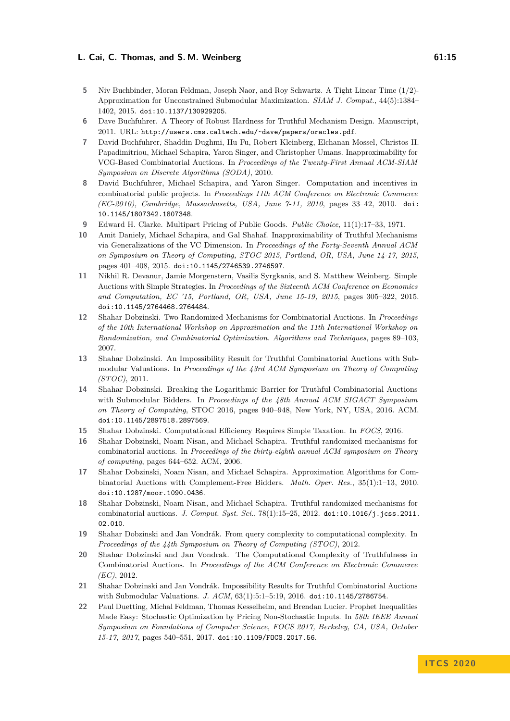- <span id="page-14-17"></span>**5** Niv Buchbinder, Moran Feldman, Joseph Naor, and Roy Schwartz. A Tight Linear Time (1/2)- Approximation for Unconstrained Submodular Maximization. *SIAM J. Comput.*, 44(5):1384– 1402, 2015. [doi:10.1137/130929205](https://doi.org/10.1137/130929205).
- <span id="page-14-15"></span>**6** Dave Buchfuhrer. A Theory of Robust Hardness for Truthful Mechanism Design. Manuscript, 2011. URL: <http://users.cms.caltech.edu/~dave/papers/oracles.pdf>.
- <span id="page-14-10"></span>**7** David Buchfuhrer, Shaddin Dughmi, Hu Fu, Robert Kleinberg, Elchanan Mossel, Christos H. Papadimitriou, Michael Schapira, Yaron Singer, and Christopher Umans. Inapproximability for VCG-Based Combinatorial Auctions. In *Proceedings of the Twenty-First Annual ACM-SIAM Symposium on Discrete Algorithms (SODA)*, 2010.
- <span id="page-14-9"></span>**8** David Buchfuhrer, Michael Schapira, and Yaron Singer. Computation and incentives in combinatorial public projects. In *Proceedings 11th ACM Conference on Electronic Commerce (EC-2010), Cambridge, Massachusetts, USA, June 7-11, 2010*, pages 33–42, 2010. [doi:](https://doi.org/10.1145/1807342.1807348) [10.1145/1807342.1807348](https://doi.org/10.1145/1807342.1807348).
- <span id="page-14-1"></span>**9** Edward H. Clarke. Multipart Pricing of Public Goods. *Public Choice*, 11(1):17–33, 1971.
- <span id="page-14-11"></span>**10** Amit Daniely, Michael Schapira, and Gal Shahaf. Inapproximability of Truthful Mechanisms via Generalizations of the VC Dimension. In *Proceedings of the Forty-Seventh Annual ACM on Symposium on Theory of Computing, STOC 2015, Portland, OR, USA, June 14-17, 2015*, pages 401–408, 2015. [doi:10.1145/2746539.2746597](https://doi.org/10.1145/2746539.2746597).
- <span id="page-14-5"></span>**11** Nikhil R. Devanur, Jamie Morgenstern, Vasilis Syrgkanis, and S. Matthew Weinberg. Simple Auctions with Simple Strategies. In *Proceedings of the Sixteenth ACM Conference on Economics and Computation, EC '15, Portland, OR, USA, June 15-19, 2015*, pages 305–322, 2015. [doi:10.1145/2764468.2764484](https://doi.org/10.1145/2764468.2764484).
- <span id="page-14-3"></span>**12** Shahar Dobzinski. Two Randomized Mechanisms for Combinatorial Auctions. In *Proceedings of the 10th International Workshop on Approximation and the 11th International Workshop on Randomization, and Combinatorial Optimization. Algorithms and Techniques*, pages 89–103, 2007.
- <span id="page-14-13"></span>**13** Shahar Dobzinski. An Impossibility Result for Truthful Combinatorial Auctions with Submodular Valuations. In *Proceedings of the 43rd ACM Symposium on Theory of Computing (STOC)*, 2011.
- <span id="page-14-6"></span>**14** Shahar Dobzinski. Breaking the Logarithmic Barrier for Truthful Combinatorial Auctions with Submodular Bidders. In *Proceedings of the 48th Annual ACM SIGACT Symposium on Theory of Computing*, STOC 2016, pages 940–948, New York, NY, USA, 2016. ACM. [doi:10.1145/2897518.2897569](https://doi.org/10.1145/2897518.2897569).
- <span id="page-14-2"></span>**15** Shahar Dobzinski. Computational Efficiency Requires Simple Taxation. In *FOCS*, 2016.
- <span id="page-14-16"></span>**16** Shahar Dobzinski, Noam Nisan, and Michael Schapira. Truthful randomized mechanisms for combinatorial auctions. In *Proceedings of the thirty-eighth annual ACM symposium on Theory of computing*, pages 644–652. ACM, 2006.
- <span id="page-14-8"></span>**17** Shahar Dobzinski, Noam Nisan, and Michael Schapira. Approximation Algorithms for Combinatorial Auctions with Complement-Free Bidders. *Math. Oper. Res.*, 35(1):1–13, 2010. [doi:10.1287/moor.1090.0436](https://doi.org/10.1287/moor.1090.0436).
- <span id="page-14-4"></span>**18** Shahar Dobzinski, Noam Nisan, and Michael Schapira. Truthful randomized mechanisms for combinatorial auctions. *J. Comput. Syst. Sci.*, 78(1):15–25, 2012. [doi:10.1016/j.jcss.2011.](https://doi.org/10.1016/j.jcss.2011.02.010) [02.010](https://doi.org/10.1016/j.jcss.2011.02.010).
- <span id="page-14-12"></span>**19** Shahar Dobzinski and Jan Vondrák. From query complexity to computational complexity. In *Proceedings of the 44th Symposium on Theory of Computing (STOC)*, 2012.
- <span id="page-14-14"></span>**20** Shahar Dobzinski and Jan Vondrak. The Computational Complexity of Truthfulness in Combinatorial Auctions. In *Proceedings of the ACM Conference on Electronic Commerce (EC)*, 2012.
- <span id="page-14-0"></span>**21** Shahar Dobzinski and Jan Vondrák. Impossibility Results for Truthful Combinatorial Auctions with Submodular Valuations. *J. ACM*, 63(1):5:1–5:19, 2016. [doi:10.1145/2786754](https://doi.org/10.1145/2786754).
- <span id="page-14-7"></span>**22** Paul Duetting, Michal Feldman, Thomas Kesselheim, and Brendan Lucier. Prophet Inequalities Made Easy: Stochastic Optimization by Pricing Non-Stochastic Inputs. In *58th IEEE Annual Symposium on Foundations of Computer Science, FOCS 2017, Berkeley, CA, USA, October 15-17, 2017*, pages 540–551, 2017. [doi:10.1109/FOCS.2017.56](https://doi.org/10.1109/FOCS.2017.56).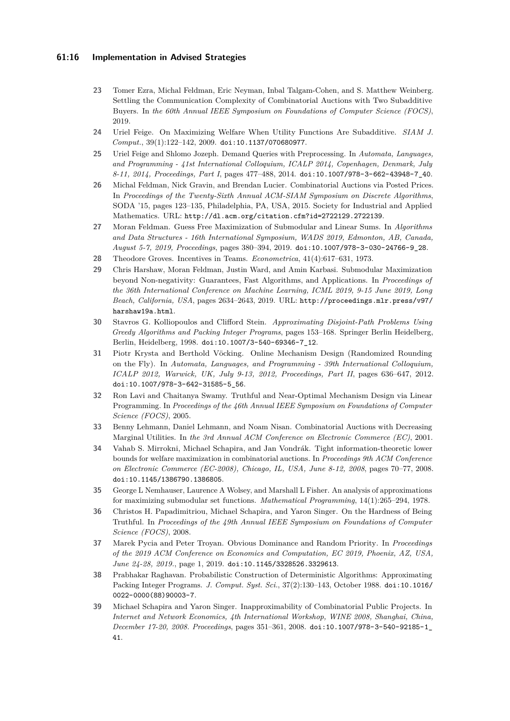### **61:16 Implementation in Advised Strategies**

- <span id="page-15-13"></span>**23** Tomer Ezra, Michal Feldman, Eric Neyman, Inbal Talgam-Cohen, and S. Matthew Weinberg. Settling the Communication Complexity of Combinatorial Auctions with Two Subadditive Buyers. In *the 60th Annual IEEE Symposium on Foundations of Computer Science (FOCS)*, 2019.
- <span id="page-15-4"></span>**24** Uriel Feige. On Maximizing Welfare When Utility Functions Are Subadditive. *SIAM J. Comput.*, 39(1):122–142, 2009. [doi:10.1137/070680977](https://doi.org/10.1137/070680977).
- <span id="page-15-9"></span>**25** Uriel Feige and Shlomo Jozeph. Demand Queries with Preprocessing. In *Automata, Languages, and Programming - 41st International Colloquium, ICALP 2014, Copenhagen, Denmark, July 8-11, 2014, Proceedings, Part I*, pages 477–488, 2014. [doi:10.1007/978-3-662-43948-7\\_40](https://doi.org/10.1007/978-3-662-43948-7_40).
- <span id="page-15-6"></span>**26** Michal Feldman, Nick Gravin, and Brendan Lucier. Combinatorial Auctions via Posted Prices. In *Proceedings of the Twenty-Sixth Annual ACM-SIAM Symposium on Discrete Algorithms*, SODA '15, pages 123–135, Philadelphia, PA, USA, 2015. Society for Industrial and Applied Mathematics. URL: <http://dl.acm.org/citation.cfm?id=2722129.2722139>.
- <span id="page-15-15"></span>**27** Moran Feldman. Guess Free Maximization of Submodular and Linear Sums. In *Algorithms and Data Structures - 16th International Symposium, WADS 2019, Edmonton, AB, Canada, August 5-7, 2019, Proceedings*, pages 380–394, 2019. [doi:10.1007/978-3-030-24766-9\\_28](https://doi.org/10.1007/978-3-030-24766-9_28).
- <span id="page-15-0"></span>**28** Theodore Groves. Incentives in Teams. *Econometrica*, 41(4):617–631, 1973.
- <span id="page-15-16"></span>**29** Chris Harshaw, Moran Feldman, Justin Ward, and Amin Karbasi. Submodular Maximization beyond Non-negativity: Guarantees, Fast Algorithms, and Applications. In *Proceedings of the 36th International Conference on Machine Learning, ICML 2019, 9-15 June 2019, Long Beach, California, USA*, pages 2634–2643, 2019. URL: [http://proceedings.mlr.press/v97/](http://proceedings.mlr.press/v97/harshaw19a.html) [harshaw19a.html](http://proceedings.mlr.press/v97/harshaw19a.html).
- <span id="page-15-2"></span>**30** Stavros G. Kolliopoulos and Clifford Stein. *Approximating Disjoint-Path Problems Using Greedy Algorithms and Packing Integer Programs*, pages 153–168. Springer Berlin Heidelberg, Berlin, Heidelberg, 1998. [doi:10.1007/3-540-69346-7\\_12](https://doi.org/10.1007/3-540-69346-7_12).
- <span id="page-15-5"></span>**31** Piotr Krysta and Berthold Vöcking. Online Mechanism Design (Randomized Rounding on the Fly). In *Automata, Languages, and Programming - 39th International Colloquium, ICALP 2012, Warwick, UK, July 9-13, 2012, Proceedings, Part II*, pages 636–647, 2012. [doi:10.1007/978-3-642-31585-5\\_56](https://doi.org/10.1007/978-3-642-31585-5_56).
- <span id="page-15-10"></span>**32** Ron Lavi and Chaitanya Swamy. Truthful and Near-Optimal Mechanism Design via Linear Programming. In *Proceedings of the 46th Annual IEEE Symposium on Foundations of Computer Science (FOCS)*, 2005.
- <span id="page-15-3"></span>**33** Benny Lehmann, Daniel Lehmann, and Noam Nisan. Combinatorial Auctions with Decreasing Marginal Utilities. In *the 3rd Annual ACM Conference on Electronic Commerce (EC)*, 2001.
- <span id="page-15-11"></span>**34** Vahab S. Mirrokni, Michael Schapira, and Jan Vondrák. Tight information-theoretic lower bounds for welfare maximization in combinatorial auctions. In *Proceedings 9th ACM Conference on Electronic Commerce (EC-2008), Chicago, IL, USA, June 8-12, 2008*, pages 70–77, 2008. [doi:10.1145/1386790.1386805](https://doi.org/10.1145/1386790.1386805).
- <span id="page-15-8"></span>**35** George L Nemhauser, Laurence A Wolsey, and Marshall L Fisher. An analysis of approximations for maximizing submodular set functions. *Mathematical Programming*, 14(1):265–294, 1978.
- <span id="page-15-12"></span>**36** Christos H. Papadimitriou, Michael Schapira, and Yaron Singer. On the Hardness of Being Truthful. In *Proceedings of the 49th Annual IEEE Symposium on Foundations of Computer Science (FOCS)*, 2008.
- <span id="page-15-14"></span>**37** Marek Pycia and Peter Troyan. Obvious Dominance and Random Priority. In *Proceedings of the 2019 ACM Conference on Economics and Computation, EC 2019, Phoenix, AZ, USA, June 24-28, 2019.*, page 1, 2019. [doi:10.1145/3328526.3329613](https://doi.org/10.1145/3328526.3329613).
- <span id="page-15-1"></span>**38** Prabhakar Raghavan. Probabilistic Construction of Deterministic Algorithms: Approximating Packing Integer Programs. *J. Comput. Syst. Sci.*, 37(2):130–143, October 1988. [doi:10.1016/](https://doi.org/10.1016/0022-0000(88)90003-7) [0022-0000\(88\)90003-7](https://doi.org/10.1016/0022-0000(88)90003-7).
- <span id="page-15-7"></span>**39** Michael Schapira and Yaron Singer. Inapproximability of Combinatorial Public Projects. In *Internet and Network Economics, 4th International Workshop, WINE 2008, Shanghai, China, December 17-20, 2008. Proceedings*, pages 351–361, 2008. [doi:10.1007/978-3-540-92185-1\\_](https://doi.org/10.1007/978-3-540-92185-1_41) [41](https://doi.org/10.1007/978-3-540-92185-1_41).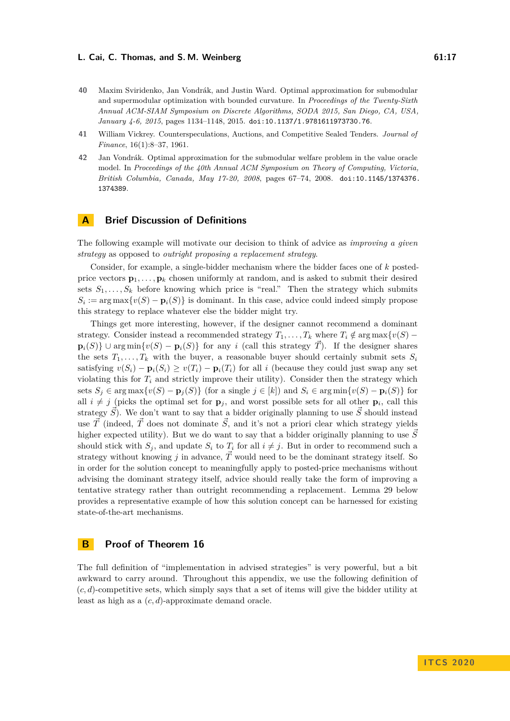- <span id="page-16-3"></span>**40** Maxim Sviridenko, Jan Vondrák, and Justin Ward. Optimal approximation for submodular and supermodular optimization with bounded curvature. In *Proceedings of the Twenty-Sixth Annual ACM-SIAM Symposium on Discrete Algorithms, SODA 2015, San Diego, CA, USA, January 4-6, 2015*, pages 1134–1148, 2015. [doi:10.1137/1.9781611973730.76](https://doi.org/10.1137/1.9781611973730.76).
- <span id="page-16-0"></span>**41** William Vickrey. Counterspeculations, Auctions, and Competitive Sealed Tenders. *Journal of Finance*, 16(1):8–37, 1961.
- <span id="page-16-1"></span>**42** Jan Vondrák. Optimal approximation for the submodular welfare problem in the value oracle model. In *Proceedings of the 40th Annual ACM Symposium on Theory of Computing, Victoria, British Columbia, Canada, May 17-20, 2008*, pages 67–74, 2008. [doi:10.1145/1374376.](https://doi.org/10.1145/1374376.1374389) [1374389](https://doi.org/10.1145/1374376.1374389).

# <span id="page-16-4"></span>**A Brief Discussion of Definitions**

The following example will motivate our decision to think of advice as *improving a given strategy* as opposed to *outright proposing a replacement strategy*.

Consider, for example, a single-bidder mechanism where the bidder faces one of *k* postedprice vectors  $\mathbf{p}_1, \ldots, \mathbf{p}_k$  chosen uniformly at random, and is asked to submit their desired sets  $S_1, \ldots, S_k$  before knowing which price is "real." Then the strategy which submits  $S_i := \arg \max \{v(S) - \mathbf{p}_i(S)\}\$ is dominant. In this case, advice could indeed simply propose this strategy to replace whatever else the bidder might try.

Things get more interesting, however, if the designer cannot recommend a dominant strategy. Consider instead a recommended strategy  $T_1, \ldots, T_k$  where  $T_i \notin \arg \max \{v(S)$  $p_i(S)$  ∪ arg min $\{v(S) - p_i(S)\}\$  for any *i* (call this strategy  $\overline{T}$ ). If the designer shares the sets  $T_1, \ldots, T_k$  with the buyer, a reasonable buyer should certainly submit sets  $S_i$ satisfying  $v(S_i) - \mathbf{p}_i(S_i) \ge v(T_i) - \mathbf{p}_i(T_i)$  for all *i* (because they could just swap any set violating this for  $T_i$  and strictly improve their utility). Consider then the strategy which sets *S<sub>i</sub>* ∈ arg max $\{v(S) - \mathbf{p}_i(S)\}\$  (for a single  $j \in [k]$ ) and  $S_i \in \arg \min \{v(S) - \mathbf{p}_i(S)\}\$ for all  $i \neq j$  (picks the optimal set for  $\mathbf{p}_j$ , and worst possible sets for all other  $\mathbf{p}_i$ , call this strategy  $\vec{S}$ ). We don't want to say that a bidder originally planning to use  $\vec{S}$  should instead use  $\vec{T}$  (indeed,  $\vec{T}$  does not dominate  $\vec{S}$ , and it's not a priori clear which strategy yields higher expected utility). But we do want to say that a bidder originally planning to use  $\tilde{S}$ should stick with  $S_i$ , and update  $S_i$  to  $T_i$  for all  $i \neq j$ . But in order to recommend such a strategy without knowing *j* in advance,  $\vec{T}$  would need to be the dominant strategy itself. So in order for the solution concept to meaningfully apply to posted-price mechanisms without advising the dominant strategy itself, advice should really take the form of improving a tentative strategy rather than outright recommending a replacement. Lemma [29](#page-25-0) below provides a representative example of how this solution concept can be harnessed for existing state-of-the-art mechanisms.

# <span id="page-16-2"></span>**B Proof of Theorem [16](#page-11-1)**

The full definition of "implementation in advised strategies" is very powerful, but a bit awkward to carry around. Throughout this appendix, we use the following definition of (*c, d*)-competitive sets, which simply says that a set of items will give the bidder utility at least as high as a (*c, d*)-approximate demand oracle.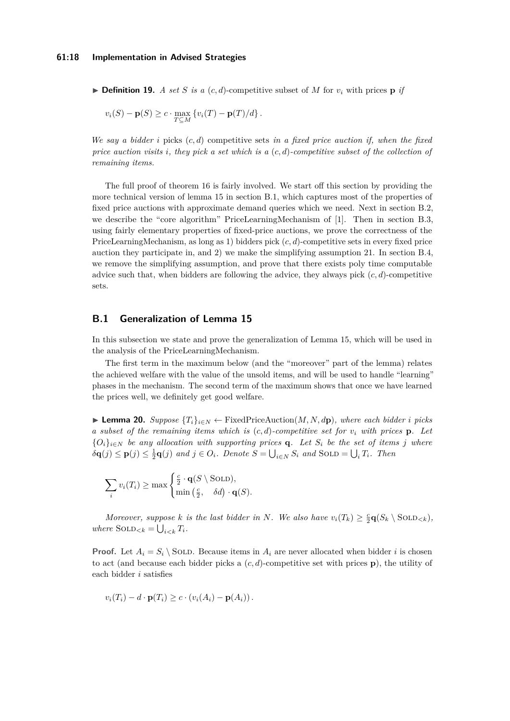$\triangleright$  **Definition 19.** *A set S is a* (*c, d*)-competitive subset of *M* for  $v_i$  with prices **p** *if* 

$$
v_i(S) - \mathbf{p}(S) \ge c \cdot \max_{T \subseteq M} \{ v_i(T) - \mathbf{p}(T)/d \}.
$$

*We say a bidder i* picks (*c, d*) competitive sets *in a fixed price auction if, when the fixed price auction visits i, they pick a set which is a* (*c, d*)*-competitive subset of the collection of remaining items.*

The full proof of theorem [16](#page-11-1) is fairly involved. We start off this section by providing the more technical version of lemma [15](#page-10-2) in section [B.1,](#page-17-1) which captures most of the properties of fixed price auctions with approximate demand queries which we need. Next in section [B.2,](#page-18-0) we describe the "core algorithm" PriceLearningMechanism of [\[1\]](#page-13-0). Then in section [B.3,](#page-20-0) using fairly elementary properties of fixed-price auctions, we prove the correctness of the PriceLearningMechanism, as long as 1) bidders pick (*c, d*)-competitive sets in every fixed price auction they participate in, and 2) we make the simplifying assumption [21.](#page-19-0) In section [B.4,](#page-25-1) we remove the simplifying assumption, and prove that there exists poly time computable advice such that, when bidders are following the advice, they always pick (*c, d*)-competitive sets.

### <span id="page-17-1"></span>**B.1 Generalization of Lemma [15](#page-10-2)**

In this subsection we state and prove the generalization of Lemma [15,](#page-10-2) which will be used in the analysis of the PriceLearningMechanism.

The first term in the maximum below (and the "moreover" part of the lemma) relates the achieved welfare with the value of the unsold items, and will be used to handle "learning" phases in the mechanism. The second term of the maximum shows that once we have learned the prices well, we definitely get good welfare.

<span id="page-17-0"></span>▶ **Lemma 20.** *Suppose*  ${T_i}_{i \in N}$  ← FixedPriceAuction(*M, N, d***p**)*, where each bidder <i>i* picks *a subset of the remaining items which is* (*c, d*)*-competitive set for v<sup>i</sup> with prices* **p***. Let*  ${O_i}_{i \in N}$  *be any allocation with supporting prices* **q***. Let*  $S_i$  *be the set of items j where*  $\delta \mathbf{q}(j) \leq \mathbf{p}(j) \leq \frac{1}{2} \mathbf{q}(j)$  and  $j \in O_i$ . Denote  $S = \bigcup_{i \in N} S_i$  and  $SOLD = \bigcup_i T_i$ . Then

$$
\sum_{i} v_i(T_i) \ge \max\begin{cases} \frac{c}{2} \cdot \mathbf{q}(S \setminus \text{SOLD}), \\ \min\left(\frac{c}{2}, \delta d\right) \cdot \mathbf{q}(S). \end{cases}
$$

*Moreover, suppose k is the last bidder in N. We also have*  $v_i(T_k) \geq \frac{c}{2} \mathbf{q}(S_k \setminus \text{SOLD}_{< k})$ *,*  $where$   $SOLD_{.$ 

**Proof.** Let  $A_i = S_i \setminus$  SOLD. Because items in  $A_i$  are never allocated when bidder *i* is chosen to act (and because each bidder picks a (*c, d*)-competitive set with prices **p**), the utility of each bidder *i* satisfies

$$
v_i(T_i) - d \cdot \mathbf{p}(T_i) \geq c \cdot (v_i(A_i) - \mathbf{p}(A_i)).
$$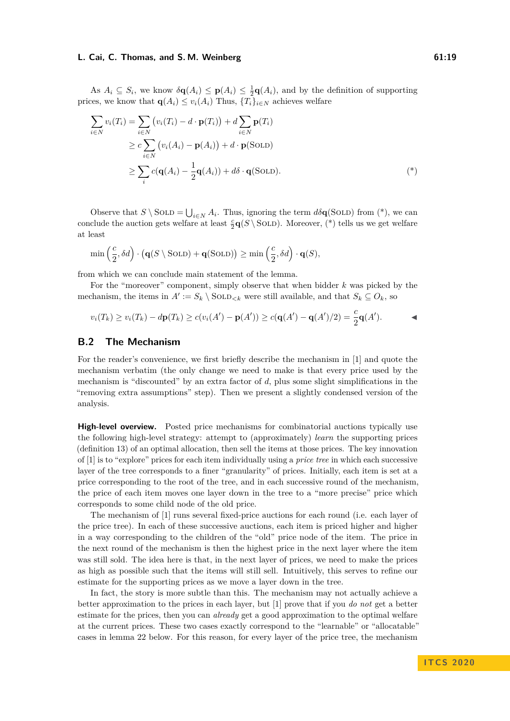As  $A_i \subseteq S_i$ , we know  $\delta \mathbf{q}(A_i) \leq \mathbf{p}(A_i) \leq \frac{1}{2}\mathbf{q}(A_i)$ , and by the definition of supporting prices, we know that  $q(A_i) \leq v_i(A_i)$  Thus,  $\{T_i\}_{i \in N}$  achieves welfare

$$
\sum_{i \in N} v_i(T_i) = \sum_{i \in N} (v_i(T_i) - d \cdot \mathbf{p}(T_i)) + d \sum_{i \in N} \mathbf{p}(T_i)
$$
  
\n
$$
\geq c \sum_{i \in N} (v_i(A_i) - \mathbf{p}(A_i)) + d \cdot \mathbf{p}(\text{SOLD})
$$
  
\n
$$
\geq \sum_i c(\mathbf{q}(A_i) - \frac{1}{2}\mathbf{q}(A_i)) + d\delta \cdot \mathbf{q}(\text{SOLD}).
$$
 (\*)

Observe that  $S \setminus$  SOLD =  $\bigcup_{i \in N} A_i$ . Thus, ignoring the term  $d\delta \mathbf{q}$ (SOLD) from (\*), we can conclude the auction gets welfare at least  $\frac{c}{2}\mathbf{q}(S \setminus \text{SOLD})$ . Moreover, (\*) tells us we get welfare at least

$$
\min\left(\frac{c}{2}, \delta d\right) \cdot \big(\mathbf{q}(S \setminus \text{SOLD}) + \mathbf{q}(\text{SOLD})\big) \ge \min\left(\frac{c}{2}, \delta d\right) \cdot \mathbf{q}(S),
$$

from which we can conclude main statement of the lemma.

For the "moreover" component, simply observe that when bidder *k* was picked by the mechanism, the items in  $A' := S_k \setminus \text{SOLD}_{\leq k}$  were still available, and that  $S_k \subseteq O_k$ , so

$$
v_i(T_k) \ge v_i(T_k) - d\mathbf{p}(T_k) \ge c(v_i(A') - \mathbf{p}(A')) \ge c(\mathbf{q}(A') - \mathbf{q}(A')/2) = \frac{c}{2}\mathbf{q}(A').
$$

## <span id="page-18-0"></span>**B.2 The Mechanism**

For the reader's convenience, we first briefly describe the mechanism in [\[1\]](#page-13-0) and quote the mechanism verbatim (the only change we need to make is that every price used by the mechanism is "discounted" by an extra factor of *d*, plus some slight simplifications in the "removing extra assumptions" step). Then we present a slightly condensed version of the analysis.

**High-level overview.** Posted price mechanisms for combinatorial auctions typically use the following high-level strategy: attempt to (approximately) *learn* the supporting prices (definition [13\)](#page-10-4) of an optimal allocation, then sell the items at those prices. The key innovation of [\[1\]](#page-13-0) is to "explore" prices for each item individually using a *price tree* in which each successive layer of the tree corresponds to a finer "granularity" of prices. Initially, each item is set at a price corresponding to the root of the tree, and in each successive round of the mechanism, the price of each item moves one layer down in the tree to a "more precise" price which corresponds to some child node of the old price.

The mechanism of [\[1\]](#page-13-0) runs several fixed-price auctions for each round (i.e. each layer of the price tree). In each of these successive auctions, each item is priced higher and higher in a way corresponding to the children of the "old" price node of the item. The price in the next round of the mechanism is then the highest price in the next layer where the item was still sold. The idea here is that, in the next layer of prices, we need to make the prices as high as possible such that the items will still sell. Intuitively, this serves to refine our estimate for the supporting prices as we move a layer down in the tree.

In fact, the story is more subtle than this. The mechanism may not actually achieve a better approximation to the prices in each layer, but [\[1\]](#page-13-0) prove that if you *do not* get a better estimate for the prices, then you can *already* get a good approximation to the optimal welfare at the current prices. These two cases exactly correspond to the "learnable" or "allocatable" cases in lemma [22](#page-22-0) below. For this reason, for every layer of the price tree, the mechanism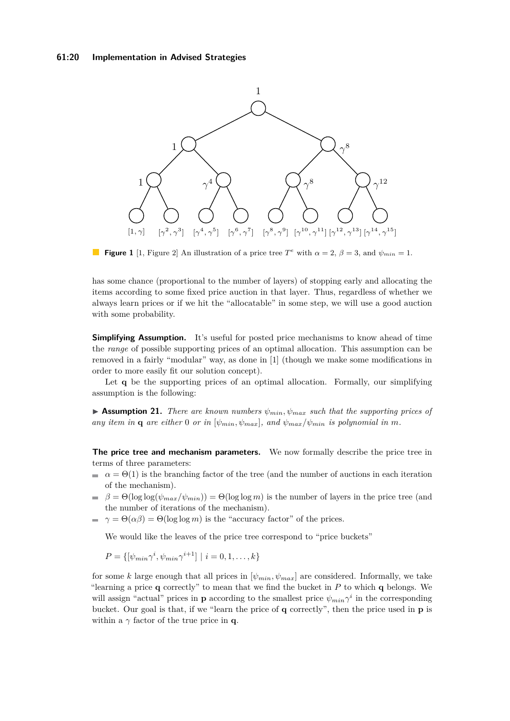

**Figure 1** [\[1,](#page-13-0) Figure 2] An illustration of a price tree  $T^e$  with  $\alpha = 2$ ,  $\beta = 3$ , and  $\psi_{min} = 1$ .

has some chance (proportional to the number of layers) of stopping early and allocating the items according to some fixed price auction in that layer. Thus, regardless of whether we always learn prices or if we hit the "allocatable" in some step, we will use a good auction with some probability.

**Simplifying Assumption.** It's useful for posted price mechanisms to know ahead of time the *range* of possible supporting prices of an optimal allocation. This assumption can be removed in a fairly "modular" way, as done in [\[1\]](#page-13-0) (though we make some modifications in order to more easily fit our solution concept).

Let **q** be the supporting prices of an optimal allocation. Formally, our simplifying assumption is the following:

<span id="page-19-0"></span>**• Assumption 21.** *There are known numbers*  $\psi_{min}$ ,  $\psi_{max}$  *such that the supporting prices of any item in* **q** *are either* 0 *or in* [ $\psi_{min}$ ,  $\psi_{max}$ ]*, and*  $\psi_{max}/\psi_{min}$  *is polynomial in m*.

**The price tree and mechanism parameters.** We now formally describe the price tree in terms of three parameters:

- $\alpha = \Theta(1)$  is the branching factor of the tree (and the number of auctions in each iteration of the mechanism).
- $\beta = \Theta(\log \log(\psi_{max}/\psi_{min})) = \Theta(\log \log m)$  is the number of layers in the price tree (and the number of iterations of the mechanism).
- $\gamma = \Theta(\alpha \beta) = \Theta(\log \log m)$  is the "accuracy factor" of the prices.  $\sim$

We would like the leaves of the price tree correspond to "price buckets"

$$
P = \{ [\psi_{min} \gamma^i, \psi_{min} \gamma^{i+1}] \mid i = 0, 1, ..., k \}
$$

for some *k* large enough that all prices in  $[\psi_{min}, \psi_{max}]$  are considered. Informally, we take "learning a price **q** correctly" to mean that we find the bucket in *P* to which **q** belongs. We will assign "actual" prices in **p** according to the smallest price  $\psi_{min} \gamma^i$  in the corresponding bucket. Our goal is that, if we "learn the price of **q** correctly", then the price used in **p** is within a  $\gamma$  factor of the true price in **q**.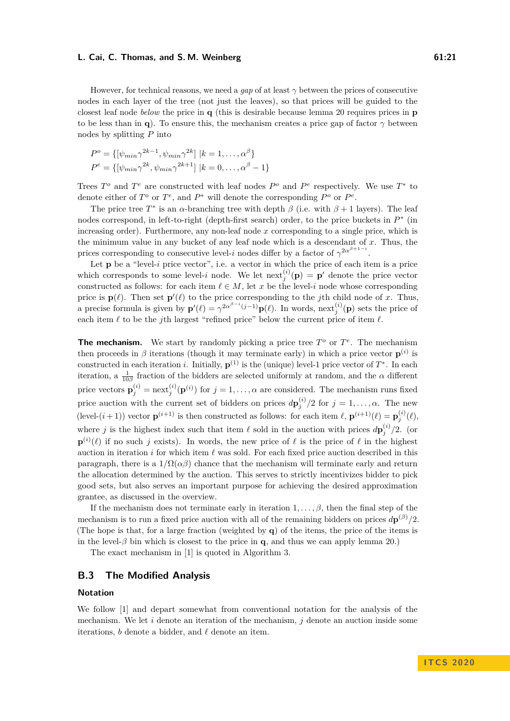However, for technical reasons, we need a *gap* of at least *γ* between the prices of consecutive nodes in each layer of the tree (not just the leaves), so that prices will be guided to the closest leaf node *below* the price in **q** (this is desirable because lemma [20](#page-17-0) requires prices in **p** to be less than in **q**). To ensure this, the mechanism creates a price gap of factor  $\gamma$  between nodes by splitting *P* into

$$
P^{o} = \{ [\psi_{min} \gamma^{2k-1}, \psi_{min} \gamma^{2k}] \mid k = 1, ..., \alpha^{\beta} \}
$$
  

$$
P^{e} = \{ [\psi_{min} \gamma^{2k}, \psi_{min} \gamma^{2k+1}] \mid k = 0, ..., \alpha^{\beta} - 1 \}
$$

Trees  $T^o$  and  $T^e$  are constructed with leaf nodes  $P^o$  and  $P^e$  respectively. We use  $T^*$  to denote either of  $T^o$  or  $T^e$ , and  $P^*$  will denote the corresponding  $P^o$  or  $P^e$ .

The price tree  $T^*$  is an  $\alpha$ -branching tree with depth  $\beta$  (i.e. with  $\beta + 1$  layers). The leaf nodes correspond, in left-to-right (depth-first search) order, to the price buckets in  $P^*$  (in increasing order). Furthermore, any non-leaf node *x* corresponding to a single price, which is the minimum value in any bucket of any leaf node which is a descendant of *x*. Thus, the prices corresponding to consecutive level-*i* nodes differ by a factor of  $\gamma^{2\alpha^{\beta+1-i}}$ .

Let **p** be a "level-*i* price vector", i.e. a vector in which the price of each item is a price which corresponds to some level-*i* node. We let  $\text{next}_{j}^{(i)}(\mathbf{p}) = \mathbf{p}'$  denote the price vector constructed as follows: for each item  $\ell \in M$ , let *x* be the level-*i* node whose corresponding price is  $\mathbf{p}(\ell)$ . Then set  $\mathbf{p}'(\ell)$  to the price corresponding to the *j*th child node of *x*. Thus, a precise formula is given by  $\mathbf{p}'(\ell) = \gamma^{2\alpha^{\beta-i}(j-1)}\mathbf{p}(\ell)$ . In words, next<sup>(*i*)</sup>( $\mathbf{p}$ ) sets the price of each item  $\ell$  to be the *j*th largest "refined price" below the current price of item  $\ell$ .

**The mechanism.** We start by randomly picking a price tree  $T^o$  or  $T^e$ . The mechanism then proceeds in  $\beta$  iterations (though it may terminate early) in which a price vector  $p^{(i)}$  is constructed in each iteration *i*. Initially,  $\mathbf{p}^{(1)}$  is the (unique) level-1 price vector of  $T^*$ . In each iteration, a  $\frac{1}{10\beta}$  fraction of the bidders are selected uniformly at random, and the *α* different price vectors  $\mathbf{p}_j^{(i)} = \text{next}_j^{(i)}(\mathbf{p}^{(i)})$  for  $j = 1, \ldots, \alpha$  are considered. The mechanism runs fixed price auction with the current set of bidders on prices  $d\mathbf{p}_j^{(i)}/2$  for  $j = 1, \ldots, \alpha$ . The new (level- $(i+1)$ ) vector  $\mathbf{p}^{(i+1)}$  is then constructed as follows: for each item  $\ell$ ,  $\mathbf{p}^{(i+1)}(\ell) = \mathbf{p}^{(i)}_j(\ell)$ , where *j* is the highest index such that item  $\ell$  sold in the auction with prices  $d\mathbf{p}_j^{(i)}/2$ . (or  $\mathbf{p}^{(i)}(\ell)$  if no such *j* exists). In words, the new price of  $\ell$  is the price of  $\ell$  in the highest auction in iteration  $i$  for which item  $\ell$  was sold. For each fixed price auction described in this paragraph, there is a  $1/\Omega(\alpha\beta)$  chance that the mechanism will terminate early and return the allocation determined by the auction. This serves to strictly incentivizes bidder to pick good sets, but also serves an important purpose for achieving the desired approximation grantee, as discussed in the overview.

If the mechanism does not terminate early in iteration  $1, \ldots, \beta$ , then the final step of the mechanism is to run a fixed price auction with all of the remaining bidders on prices  $d\mathbf{p}^{(\beta)}/2$ . (The hope is that, for a large fraction (weighted by **q**) of the items, the price of the items is in the level- $\beta$  bin which is closest to the price in **q**, and thus we can apply lemma [20.](#page-17-0))

The exact mechanism in [\[1\]](#page-13-0) is quoted in Algorithm [3.](#page-21-0)

# <span id="page-20-0"></span>**B.3 The Modified Analysis**

### **Notation**

We follow [\[1\]](#page-13-0) and depart somewhat from conventional notation for the analysis of the mechanism. We let *i* denote an iteration of the mechanism, *j* denote an auction inside some iterations,  $b$  denote a bidder, and  $\ell$  denote an item.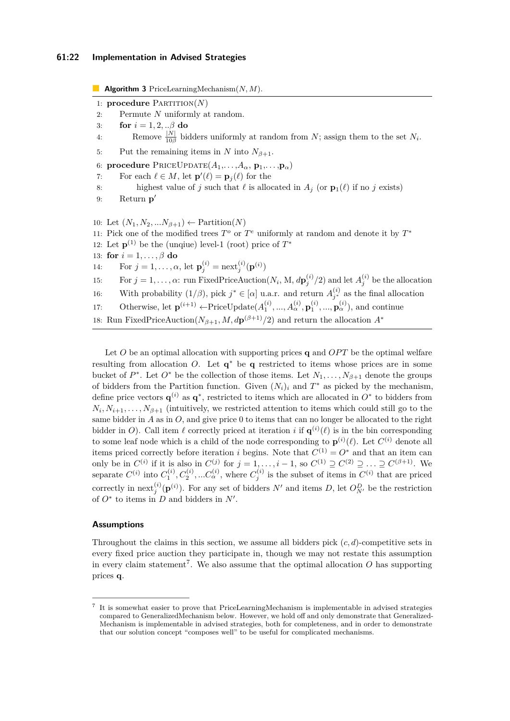<span id="page-21-0"></span>**Algorithm 3** PriceLearningMechanism(*N, M*).

- 1: **procedure** Partition(*N*)
- 2: Permute *N* uniformly at random.
- 3: **for** *i* = 1*,* 2*, ..β* **do**

4: Remove  $\frac{|N|}{10\beta}$  bidders uniformly at random from *N*; assign them to the set *N<sub>i</sub>*.

- 5: Put the remaining items in *N* into  $N_{\beta+1}$ .
- 6: **procedure**  $\text{PRICEUPDATE}(A_1, \ldots, A_\alpha, \mathbf{p}_1, \ldots, \mathbf{p}_\alpha)$
- 7: For each  $\ell \in M$ , let  $\mathbf{p}'(\ell) = \mathbf{p}_j(\ell)$  for the
- 8: highest value of *j* such that  $\ell$  is allocated in  $A_j$  (or  $\mathbf{p}_1(\ell)$  if no *j* exists)
- 9: Return **p** 0

10: Let  $(N_1, N_2, ... N_{\beta+1}) \leftarrow$  Partition $(N)$ 11: Pick one of the modified trees  $T^o$  or  $T^e$  uniformly at random and denote it by  $T^*$ 12: Let  $\mathbf{p}^{(1)}$  be the (unqiue) level-1 (root) price of  $T^*$ 13: **for**  $i = 1, \ldots, \beta$  **do** 14: For  $j = 1, ..., \alpha$ , let  $\mathbf{p}_j^{(i)} = \text{next}_j^{(i)}(\mathbf{p}^{(i)})$ 15: For  $j = 1, \ldots, \alpha$ : run FixedPriceAuction( $N_i$ , M,  $d\mathbf{p}_j^{(i)}/2$ ) and let  $A_j^{(i)}$  be the allocation 16: With probability  $(1/\beta)$ , pick  $j^* \in [\alpha]$  u.a.r. and return  $A_{j^*}^{(i)}$  as the final allocation 17: Otherwise, let  $\mathbf{p}^{(i+1)} \leftarrow \text{PriceUpdate}(A_1^{(i)}, ..., A_\alpha^{(i)}, \mathbf{p}_1^{(i)}, ..., \mathbf{p}_\alpha^{(i)}),$  and continue 18: Run FixedPriceAuction( $N_{\beta+1}$ ,  $M$ ,  $d{\bf p}^{(\beta+1)}/2$ ) and return the allocation  $A^*$ 

Let  $O$  be an optimal allocation with supporting prices **q** and  $OPT$  be the optimal welfare resulting from allocation *O*. Let **q** <sup>∗</sup> be **q** restricted to items whose prices are in some bucket of  $P^*$ . Let  $O^*$  be the collection of those items. Let  $N_1, \ldots, N_{\beta+1}$  denote the groups of bidders from the Partition function. Given  $(N_i)_i$  and  $T^*$  as picked by the mechanism, define price vectors  $\mathbf{q}^{(i)}$  as  $\mathbf{q}^*$ , restricted to items which are allocated in  $O^*$  to bidders from  $N_i, N_{i+1}, \ldots, N_{\beta+1}$  (intuitively, we restricted attention to items which could still go to the same bidder in *A* as in *O*, and give price 0 to items that can no longer be allocated to the right bidder in *O*). Call item  $\ell$  correctly priced at iteration *i* if  $\mathbf{q}^{(i)}(\ell)$  is in the bin corresponding to some leaf node which is a child of the node corresponding to  $\mathbf{p}^{(i)}(\ell)$ . Let  $C^{(i)}$  denote all items priced correctly before iteration *i* begins. Note that  $C^{(1)} = O^*$  and that an item can only be in  $C^{(i)}$  if it is also in  $C^{(j)}$  for  $j = 1, \ldots, i - 1$ , so  $C^{(1)} \supseteq C^{(2)} \supseteq \ldots \supseteq C^{(\beta+1)}$ . We separate  $C^{(i)}$  into  $C_1^{(i)}, C_2^{(i)}, \ldots C_\alpha^{(i)}$ , where  $C_j^{(i)}$  is the subset of items in  $C^{(i)}$  that are priced correctly in next<sup>(*i*</sup>)( $\mathbf{p}^{(i)}$ ). For any set of bidders *N*<sup> $\prime$ </sup> and items *D*, let  $O_{N'}^D$  be the restriction of  $O^*$  to items in  $D$  and bidders in  $N'$ .

### **Assumptions**

Throughout the claims in this section, we assume all bidders pick (*c, d*)-competitive sets in every fixed price auction they participate in, though we may not restate this assumption in every claim statement<sup>[7](#page-21-1)</sup>. We also assume that the optimal allocation  $O$  has supporting prices **q**.

<span id="page-21-1"></span><sup>7</sup> It is somewhat easier to prove that PriceLearningMechanism is implementable in advised strategies compared to GeneralizedMechanism below. However, we hold off and only demonstrate that Generalized-Mechanism is implementable in advised strategies, both for completeness, and in order to demonstrate that our solution concept "composes well" to be useful for complicated mechanisms.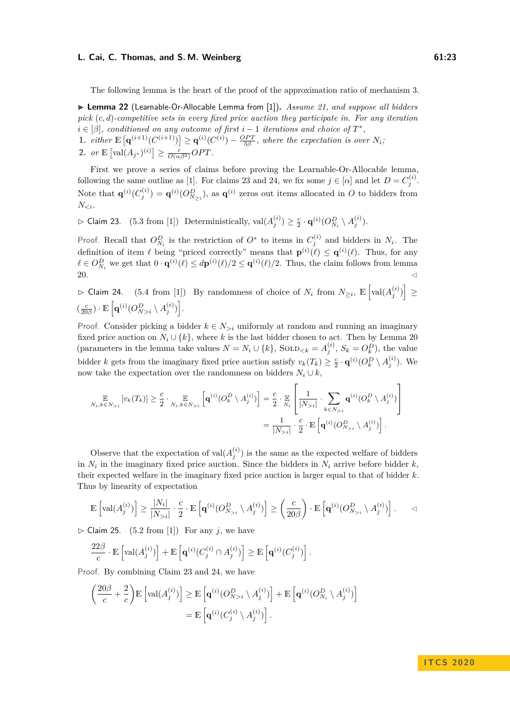The following lemma is the heart of the proof of the approximation ratio of mechanism [3.](#page-21-0)

<span id="page-22-0"></span>▶ Lemma 22 (Learnable-Or-Allocable Lemma from [\[1\]](#page-13-0)). *Assume [21,](#page-19-0) and suppose all bidders pick* (*c, d*)*-competitive sets in every fixed price auction they participate in. For any iteration*  $i \in [\beta]$ , conditioned on any outcome of first  $i - 1$  *iterations and choice of*  $T^*$ ,

1. *either*  $\mathbb{E} \left[ \mathbf{q}^{(i+1)}(C^{(i+1)}) \right] \geq \mathbf{q}^{(i)}(C^{(i)}) - \frac{OPT}{3\beta}$ , where the expectation is over  $N_i$ ; **2.** *or*  $\mathbb{E} [\text{val}(A_{j^*})^{(i)}] \ge \frac{c}{O(\alpha \beta^2)}OPT$ .

First we prove a series of claims before proving the Learnable-Or-Allocable lemma, following the same outline as [\[1\]](#page-13-0). For claims [23](#page-22-1) and [24,](#page-22-2) we fix some  $j \in [\alpha]$  and let  $D = C_j^{(i)}$ . Note that  $\mathbf{q}^{(i)}(C_j^{(i)}) = \mathbf{q}^{(i)}(O_{N>i}^D)$ , as  $\mathbf{q}^{(i)}$  zeros out items allocated in *O* to bidders from *N<i*.

<span id="page-22-1"></span> $\triangleright$  Claim 23. (5.3 from [\[1\]](#page-13-0)) Deterministically,  $\text{val}(A_j^{(i)}) \geq \frac{c}{2} \cdot \mathbf{q}^{(i)}(O_{N_i}^D \setminus A_j^{(i)})$ .

Proof. Recall that  $O_{N_i}^D$  is the restriction of  $O^*$  to items in  $C_j^{(i)}$  and bidders in  $N_i$ . The definition of item  $\ell$  being "priced correctly" means that  $\mathbf{p}^{(i)}(\ell) \leq \mathbf{q}^{(i)}(\ell)$ . Thus, for any  $\ell \in O_{N_i}^D$  we get that  $0 \cdot \mathbf{q}^{(i)}(\ell) \leq d\mathbf{p}^{(i)}(\ell)/2 \leq \mathbf{q}^{(i)}(\ell)/2$ . Thus, the claim follows from lemma [20.](#page-17-0)  $\triangleleft$ 

<span id="page-22-2"></span> $\triangleright$  Claim 24. (5.4 from [\[1\]](#page-13-0)) By randomness of choice of *N*<sup>*i*</sup> from *N*≥*i*,  $\mathbb{E}\left[\text{val}(A_j^{(i)})\right]$  ≥  $\left(\frac{c}{20\beta}\right) \cdot \mathbb{E}\left[\mathbf{q}^{(i)}(O_{N>i}^D \setminus A_j^{(i)})\right].$ 

Proof. Consider picking a bidder  $k \in N_{\geq i}$  uniformly at random and running an imaginary fixed price auction on  $N_i \cup \{k\}$ , where *k* is the last bidder chosen to act. Then by Lemma [20](#page-17-0) (parameters in the lemma take values  $N = N_i \cup \{k\}$ , Sol $D_{< k} = A_j^{(i)}$ ,  $S_k = O_k^D$ ), the value bidder *k* gets from the imaginary fixed price auction satisfy  $v_k(T_k) \geq \frac{c}{2} \cdot \mathbf{q}^{(i)}(O_k^D \setminus A_j^{(i)})$ . We now take the expectation over the randomness on bidders  $N_i \cup k$ ,

$$
\mathbb{E}_{N_i,k \in N_{>i}}[v_k(T_k)] \geq \frac{c}{2} \cdot \mathbb{E}_{N_i,k \in N_{>i}}\left[\mathbf{q}^{(i)}(O_k^D \setminus A_j^{(i)})\right] = \frac{c}{2} \cdot \mathbb{E}_{N_i}\left[\frac{1}{|N_{>i}|} \cdot \sum_{k \in N_{>i}} \mathbf{q}^{(i)}(O_k^D \setminus A_j^{(i)})\right]
$$

$$
= \frac{1}{|N_{>i}|} \cdot \frac{c}{2} \cdot \mathbb{E}\left[\mathbf{q}^{(i)}(O_{N_{>i}}^D \setminus A_j^{(i)})\right].
$$

Observe that the expectation of  $val(A_j^{(i)})$  is the same as the expected welfare of bidders in  $N_i$  in the imaginary fixed price auction. Since the bidders in  $N_i$  arrive before bidder  $k$ , their expected welfare in the imaginary fixed price auction is larger equal to that of bidder *k*. Thus by linearity of expectation

$$
\mathbb{E}\left[\text{val}(A_j^{(i)})\right] \ge \frac{|N_i|}{|N_{>i}|} \cdot \frac{c}{2} \cdot \mathbb{E}\left[\mathbf{q}^{(i)}(O_{N_{>i}}^D \setminus A_j^{(i)})\right] \ge \left(\frac{c}{20\beta}\right) \cdot \mathbb{E}\left[\mathbf{q}^{(i)}(O_{N_{>i}}^D \setminus A_j^{(i)})\right]. \qquad \triangleleft
$$

<span id="page-22-3"></span> $\triangleright$  Claim 25. (5.2 from [\[1\]](#page-13-0)) For any *j*, we have

$$
\frac{22\beta}{c} \cdot \mathbb{E}\left[\text{val}(A_j^{(i)})\right] + \mathbb{E}\left[\mathbf{q}^{(i)}(C_j^{(i)} \cap A_j^{(i)})\right] \ge \mathbb{E}\left[\mathbf{q}^{(i)}(C_j^{(i)})\right].
$$

Proof. By combining Claim [23](#page-22-1) and [24,](#page-22-2) we have

$$
\left(\frac{20\beta}{c} + \frac{2}{c}\right) \mathbb{E}\left[\text{val}(A_j^{(i)})\right] \ge \mathbb{E}\left[\mathbf{q}^{(i)}(O_{N>i}^D \setminus A_j^{(i)})\right] + \mathbb{E}\left[\mathbf{q}^{(i)}(O_{N_i}^D \setminus A_j^{(i)})\right]
$$

$$
= \mathbb{E}\left[\mathbf{q}^{(i)}(C_j^{(i)} \setminus A_j^{(i)})\right].
$$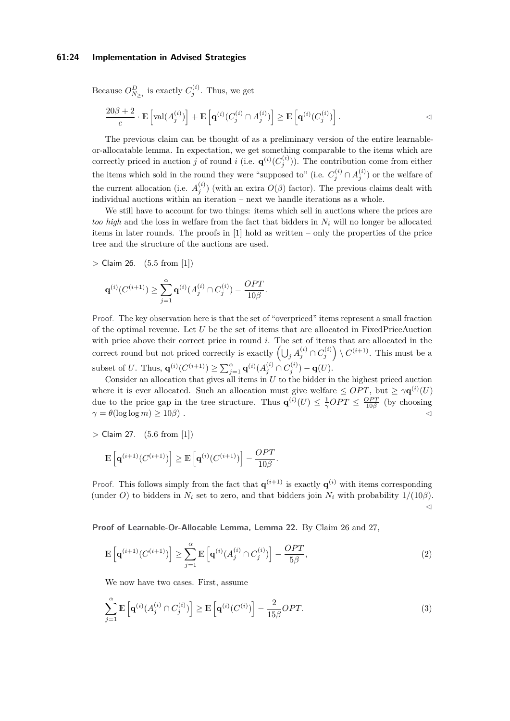### **61:24 Implementation in Advised Strategies**

Because  $O_{N_{\geq i}}^D$  is exactly  $C_j^{(i)}$ . Thus, we get

$$
\frac{20\beta+2}{c}\cdot \mathbb{E}\left[\mathrm{val}(A_j^{(i)})\right]+\mathbb{E}\left[\mathbf{q}^{(i)}(C_j^{(i)}\cap A_j^{(i)})\right]\geq \mathbb{E}\left[\mathbf{q}^{(i)}(C_j^{(i)})\right].
$$

The previous claim can be thought of as a preliminary version of the entire learnableor-allocatable lemma. In expectation, we get something comparable to the items which are correctly priced in auction *j* of round *i* (i.e.  $\mathbf{q}^{(i)}(C_j^{(i)})$ ). The contribution come from either the items which sold in the round they were "supposed to" (i.e.  $C_j^{(i)} \cap A_j^{(i)}$ ) or the welfare of the current allocation (i.e.  $A_j^{(i)}$ ) (with an extra  $O(\beta)$  factor). The previous claims dealt with individual auctions within an iteration – next we handle iterations as a whole.

We still have to account for two things: items which sell in auctions where the prices are *too high* and the loss in welfare from the fact that bidders in *N<sup>i</sup>* will no longer be allocated items in later rounds. The proofs in [\[1\]](#page-13-0) hold as written – only the properties of the price tree and the structure of the auctions are used.

<span id="page-23-0"></span> $\triangleright$  Claim 26. (5.5 from [\[1\]](#page-13-0))

$$
\mathbf{q}^{(i)}(C^{(i+1)}) \geq \sum_{j=1}^{\alpha} \mathbf{q}^{(i)}(A_j^{(i)} \cap C_j^{(i)}) - \frac{OPT}{10\beta}.
$$

Proof. The key observation here is that the set of "overpriced" items represent a small fraction of the optimal revenue. Let *U* be the set of items that are allocated in FixedPriceAuction with price above their correct price in round *i*. The set of items that are allocated in the correct round but not priced correctly is exactly  $\left(\bigcup_j A_j^{(i)} \cap C_j^{(i)}\right) \setminus C^{(i+1)}$ . This must be a subset of *U*. Thus,  $\mathbf{q}^{(i)}(C^{(i+1)}) \ge \sum_{j=1}^{\alpha} \mathbf{q}^{(i)}(A_j^{(i)} \cap C_j^{(i)}) - \mathbf{q}(U)$ .

Consider an allocation that gives all items in  $U$  to the bidder in the highest priced auction where it is ever allocated. Such an allocation must give welfare  $\leq OPT$ , but  $\geq \gamma \mathbf{q}^{(i)}(U)$ due to the price gap in the tree structure. Thus  $\mathbf{q}^{(i)}(U) \leq \frac{1}{\gamma}OPT \leq \frac{OPT}{10\beta}$  (by choosing  $\gamma = \theta(\log \log m) \geq 10\beta$ ).

<span id="page-23-1"></span> $\triangleright$  Claim 27. (5.6 from [\[1\]](#page-13-0))

$$
\mathbb{E}\left[\mathbf{q}^{(i+1)}(C^{(i+1)})\right] \geq \mathbb{E}\left[\mathbf{q}^{(i)}(C^{(i+1)})\right] - \frac{OPT}{10\beta}.
$$

Proof. This follows simply from the fact that  $\mathbf{q}^{(i+1)}$  is exactly  $\mathbf{q}^{(i)}$  with items corresponding (under *O*) to bidders in  $N_i$  set to zero, and that bidders join  $N_i$  with probability  $1/(10\beta)$ .  $\overline{\mathcal{L}}$ 

**Proof of Learnable-Or-Allocable Lemma, Lemma [22.](#page-22-0)** By Claim [26](#page-23-0) and [27,](#page-23-1)

<span id="page-23-2"></span>
$$
\mathbb{E}\left[\mathbf{q}^{(i+1)}(C^{(i+1)})\right] \ge \sum_{j=1}^{\alpha} \mathbb{E}\left[\mathbf{q}^{(i)}(A_j^{(i)} \cap C_j^{(i)})\right] - \frac{OPT}{5\beta},\tag{2}
$$

We now have two cases. First, assume

<span id="page-23-3"></span>
$$
\sum_{j=1}^{\alpha} \mathbb{E}\left[\mathbf{q}^{(i)}(A_j^{(i)} \cap C_j^{(i)})\right] \ge \mathbb{E}\left[\mathbf{q}^{(i)}(C^{(i)})\right] - \frac{2}{15\beta}OPT.
$$
\n(3)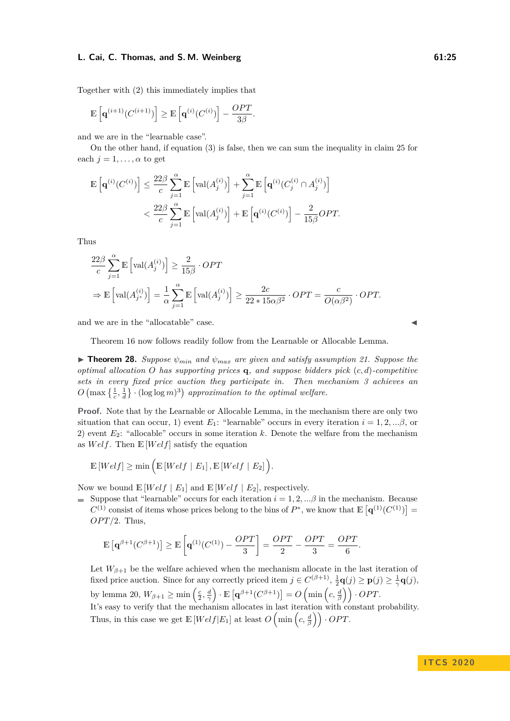Together with [\(2\)](#page-23-2) this immediately implies that

$$
\mathbb{E}\left[\mathbf{q}^{(i+1)}(C^{(i+1)})\right] \geq \mathbb{E}\left[\mathbf{q}^{(i)}(C^{(i)})\right] - \frac{OPT}{3\beta}
$$

and we are in the "learnable case".

On the other hand, if equation [\(3\)](#page-23-3) is false, then we can sum the inequality in claim [25](#page-22-3) for each  $j = 1, \ldots, \alpha$  to get

*.*

$$
\mathbb{E}\left[\mathbf{q}^{(i)}(C^{(i)})\right] \leq \frac{22\beta}{c} \sum_{j=1}^{\alpha} \mathbb{E}\left[\text{val}(A_j^{(i)})\right] + \sum_{j=1}^{\alpha} \mathbb{E}\left[\mathbf{q}^{(i)}(C_j^{(i)} \cap A_j^{(i)})\right]
$$
  

$$
< \frac{22\beta}{c} \sum_{j=1}^{\alpha} \mathbb{E}\left[\text{val}(A_j^{(i)})\right] + \mathbb{E}\left[\mathbf{q}^{(i)}(C^{(i)})\right] - \frac{2}{15\beta}OPT.
$$

Thus

$$
\frac{22\beta}{c} \sum_{j=1}^{\alpha} \mathbb{E} \left[ \text{val}(A_j^{(i)}) \right] \ge \frac{2}{15\beta} \cdot OPT
$$
  
\n
$$
\Rightarrow \mathbb{E} \left[ \text{val}(A_{j^*}^{(i)}) \right] = \frac{1}{\alpha} \sum_{j=1}^{\alpha} \mathbb{E} \left[ \text{val}(A_j^{(i)}) \right] \ge \frac{2c}{22 \cdot 15\alpha\beta^2} \cdot OPT = \frac{c}{O(\alpha\beta^2)} \cdot OPT.
$$

and we are in the "allocatable" case.

Theorem [16](#page-11-1) now follows readily follow from the Learnable or Allocable Lemma.

<span id="page-24-0"></span>**Find 28.** *Suppose*  $\psi_{min}$  *and*  $\psi_{max}$  *are given and satisfy assumption [21.](#page-19-0) Suppose the optimal allocation O has supporting prices* **q***, and suppose bidders pick* (*c, d*)*-competitive sets in every fixed price auction they participate in. Then mechanism [3](#page-21-0) achieves an*  $O\left(\max\left\{\frac{1}{c},\frac{1}{d}\right\}\right) \cdot (\log \log m)^3\right)$  approximation to the optimal welfare.

**Proof.** Note that by the Learnable or Allocable Lemma, in the mechanism there are only two situation that can occur, 1) event  $E_1$ : "learnable" occurs in every iteration  $i = 1, 2, \ldots, \beta$ , or 2) event *E*2: "allocable" occurs in some iteration *k*. Denote the welfare from the mechanism as *W elf*. Then E [*W elf*] satisfy the equation

$$
\mathbb{E}\left[Welf\right]\geq\min\Big(\mathbb{E}\left[Welf\mid E_1\right],\mathbb{E}\left[Welf\mid E_2\right]\Big).
$$

Now we bound  $\mathbb{E}[Welf | E_1]$  and  $\mathbb{E}[Welf | E_2]$ , respectively.

Suppose that "learnable" occurs for each iteration  $i = 1, 2, \ldots, \beta$  in the mechanism. Because  $C^{(1)}$  consist of items whose prices belong to the bins of  $P^*$ , we know that  $\mathbb{E}[\mathbf{q}^{(1)}(C^{(1)})]=$ *OPT*/2. Thus,

$$
\mathbb{E}\left[\mathbf{q}^{\beta+1}(C^{\beta+1})\right] \ge \mathbb{E}\left[\mathbf{q}^{(1)}(C^{(1)}) - \frac{OPT}{3}\right] = \frac{OPT}{2} - \frac{OPT}{3} = \frac{OPT}{6}.
$$

Let  $W_{\beta+1}$  be the welfare achieved when the mechanism allocate in the last iteration of fixed price auction. Since for any correctly priced item  $j \in C^{(\beta+1)}$ ,  $\frac{1}{2}\mathbf{q}(j) \geq \mathbf{p}(j) \geq \frac{1}{\gamma}\mathbf{q}(j)$ , by lemma [20,](#page-17-0)  $W_{\beta+1} \ge \min\left(\frac{c}{2}, \frac{d}{\gamma}\right) \cdot \mathbb{E}\left[\mathbf{q}^{\beta+1}(C^{\beta+1})\right] = O\left(\min\left(c, \frac{d}{\beta}\right)\right) \cdot OPT.$ It's easy to verify that the mechanism allocates in last iteration with constant probability. Thus, in this case we get  $\mathbb{E}[Welt|E_1]$  at least  $O\left(\min\left(c, \frac{d}{\beta}\right)\right) \cdot OPT$ .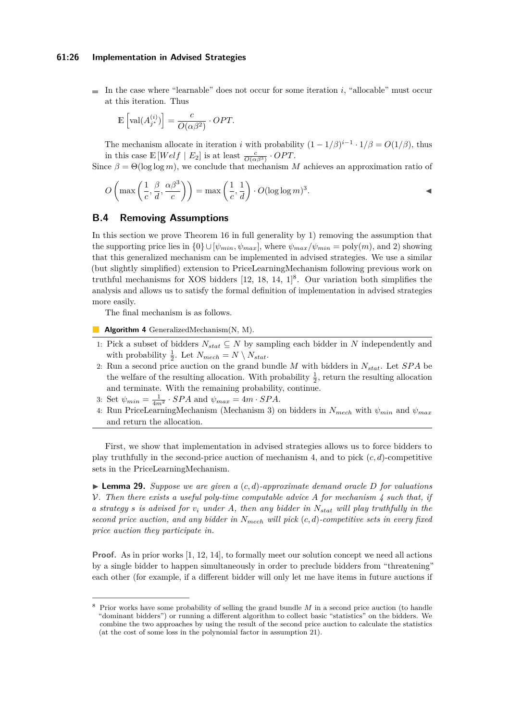In the case where "learnable" does not occur for some iteration  $i$ , "allocable" must occur at this iteration. Thus

$$
\mathbb{E}\left[\operatorname{val}(A^{(i)}_{j^*})\right] = \frac{c}{O(\alpha \beta^2)} \cdot OPT.
$$

The mechanism allocate in iteration *i* with probability  $(1 - 1/\beta)^{i-1} \cdot 1/\beta = O(1/\beta)$ , thus in this case  $\mathbb{E}[Welf | E_2]$  is at least  $\frac{c}{O(\alpha\beta^3)} \cdot OPT$ .

Since  $\beta = \Theta(\log \log m)$ , we conclude that mechanism *M* achieves an approximation ratio of

$$
O\left(\max\left(\frac{1}{c}, \frac{\beta}{d}, \frac{\alpha\beta^3}{c}\right)\right) = \max\left(\frac{1}{c}, \frac{1}{d}\right) \cdot O(\log\log m)^3.
$$

# <span id="page-25-1"></span>**B.4 Removing Assumptions**

In this section we prove Theorem [16](#page-11-1) in full generality by 1) removing the assumption that the supporting price lies in  $\{0\} \cup [\psi_{min}, \psi_{max}]$ , where  $\psi_{max}/\psi_{min} = \text{poly}(m)$ , and 2) showing that this generalized mechanism can be implemented in advised strategies. We use a similar (but slightly simplified) extension to PriceLearningMechanism following previous work on truthful mechanisms for XOS bidders [\[12,](#page-14-3) [18,](#page-14-4) [14,](#page-14-6) [1\]](#page-13-0) [8](#page-25-2) . Our variation both simplifies the analysis and allows us to satisfy the formal definition of implementation in advised strategies more easily.

The final mechanism is as follows.

- <span id="page-25-3"></span>**Algorithm 4** GeneralizedMechanism(N, M).
- 1: Pick a subset of bidders  $N_{stat} \subseteq N$  by sampling each bidder in *N* independently and with probability  $\frac{1}{2}$ . Let  $N_{mech} = N \setminus N_{stat}$ .
- 2: Run a second price auction on the grand bundle *M* with bidders in *Nstat*. Let *SP A* be the welfare of the resulting allocation. With probability  $\frac{1}{2}$ , return the resulting allocation and terminate. With the remaining probability, continue.
- 3: Set  $\psi_{min} = \frac{1}{4m^2} \cdot SPA$  and  $\psi_{max} = 4m \cdot SPA$ .
- 4: Run PriceLearningMechanism (Mechanism [3\)](#page-21-0) on bidders in  $N_{mech}$  with  $\psi_{min}$  and  $\psi_{max}$ and return the allocation.

First, we show that implementation in advised strategies allows us to force bidders to play truthfully in the second-price auction of mechanism [4,](#page-25-3) and to pick (*c, d*)-competitive sets in the PriceLearningMechanism.

<span id="page-25-0"></span> $\triangleright$  **Lemma 29.** *Suppose we are given a*  $(c, d)$ -approximate demand oracle D for valuations V*. Then there exists a useful poly-time computable advice A for mechanism [4](#page-25-3) such that, if a strategy s is advised for v<sup>i</sup> under A, then any bidder in Nstat will play truthfully in the second price auction, and any bidder in*  $N_{mech}$  *will pick*  $(c, d)$ *-competitive sets in every fixed price auction they participate in.*

**Proof.** As in prior works [\[1,](#page-13-0) [12,](#page-14-3) [14\]](#page-14-6), to formally meet our solution concept we need all actions by a single bidder to happen simultaneously in order to preclude bidders from "threatening" each other (for example, if a different bidder will only let me have items in future auctions if

<span id="page-25-2"></span><sup>8</sup> Prior works have some probability of selling the grand bundle *M* in a second price auction (to handle "dominant bidders") or running a different algorithm to collect basic "statistics" on the bidders. We combine the two approaches by using the result of the second price auction to calculate the statistics (at the cost of some loss in the polynomial factor in assumption [21\)](#page-19-0).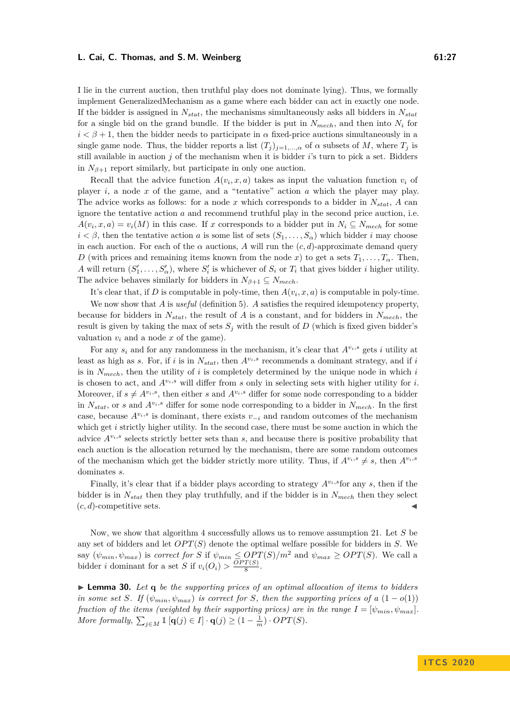I lie in the current auction, then truthful play does not dominate lying). Thus, we formally implement GeneralizedMechanism as a game where each bidder can act in exactly one node. If the bidder is assigned in *Nstat*, the mechanisms simultaneously asks all bidders in *Nstat* for a single bid on the grand bundle. If the bidder is put in  $N_{mech}$ , and then into  $N_i$  for  $i < \beta + 1$ , then the bidder needs to participate in  $\alpha$  fixed-price auctions simultaneously in a single game node. Thus, the bidder reports a list  $(T_i)_{i=1,\dots,q}$  of  $\alpha$  subsets of *M*, where  $T_i$  is still available in auction *j* of the mechanism when it is bidder *i*'s turn to pick a set. Bidders in  $N_{\beta+1}$  report similarly, but participate in only one auction.

Recall that the advice function  $A(v_i, x, a)$  takes as input the valuation function  $v_i$  of player *i*, a node *x* of the game, and a "tentative" action *a* which the player may play. The advice works as follows: for a node x which corresponds to a bidder in  $N_{stat}$ , A can ignore the tentative action *a* and recommend truthful play in the second price auction, i.e.  $A(v_i, x, a) = v_i(M)$  in this case. If *x* corresponds to a bidder put in  $N_i \subseteq N_{mech}$  for some  $i < \beta$ , then the tentative action *a* is some list of sets  $(S_1, \ldots, S_\alpha)$  which bidder *i* may choose in each auction. For each of the  $\alpha$  auctions,  $A$  will run the  $(c, d)$ -approximate demand query *D* (with prices and remaining items known from the node *x*) to get a sets  $T_1, \ldots, T_\alpha$ . Then, *A* will return  $(S'_1, \ldots, S'_\n{\alpha})$ , where  $S'_i$  is whichever of  $S_i$  or  $T_i$  that gives bidder *i* higher utility. The advice behaves similarly for bidders in  $N_{\beta+1} \subseteq N_{mech}$ .

It's clear that, if *D* is computable in poly-time, then  $A(v_i, x, a)$  is computable in poly-time.

We now show that *A* is *useful* (definition [5\)](#page-6-1). *A* satisfies the required idempotency property, because for bidders in *Nstat*, the result of *A* is a constant, and for bidders in *Nmech*, the result is given by taking the max of sets  $S_j$  with the result of  $D$  (which is fixed given bidder's valuation  $v_i$  and a node  $x$  of the game).

For any  $s_i$  and for any randomness in the mechanism, it's clear that  $A^{v_i,s}$  gets *i* utility at least as high as *s*. For, if *i* is in  $N_{stat}$ , then  $A^{v_i,s}$  recommends a dominant strategy, and if *i* is in  $N_{mech}$ , then the utility of *i* is completely determined by the unique node in which *i* is chosen to act, and  $A^{v_i,s}$  will differ from  $s$  only in selecting sets with higher utility for  $i$ . Moreover, if  $s \neq A^{v_i,s}$ , then either *s* and  $A^{v_i,s}$  differ for some node corresponding to a bidder in  $N_{stat}$ , or *s* and  $A^{v_i,s}$  differ for some node corresponding to a bidder in  $N_{mech}$ . In the first case, because  $A^{v_i,s}$  is dominant, there exists  $v_{-i}$  and random outcomes of the mechanism which get *i* strictly higher utility. In the second case, there must be some auction in which the advice  $A^{v_i,s}$  selects strictly better sets than *s*, and because there is positive probability that each auction is the allocation returned by the mechanism, there are some random outcomes of the mechanism which get the bidder strictly more utility. Thus, if  $A^{v_i,s} \neq s$ , then  $A^{v_i,s}$ dominates *s*.

Finally, it's clear that if a bidder plays according to strategy  $A^{v_i,s}$  for any *s*, then if the bidder is in *Nstat* then they play truthfully, and if the bidder is in *Nmech* then they select  $(c, d)$ -competitive sets.

Now, we show that algorithm [4](#page-25-3) successfully allows us to remove assumption [21.](#page-19-0) Let *S* be any set of bidders and let  $OPT(S)$  denote the optimal welfare possible for bidders in *S*. We say  $(\psi_{min}, \psi_{max})$  is *correct for S* if  $\psi_{min} \leq OPT(S)/m^2$  and  $\psi_{max} \geq OPT(S)$ . We call a bidder *i* dominant for a set *S* if  $v_i(O_i) > \frac{OPT(S)}{8}$  $\frac{1(5)}{8}$ .

 $\blacktriangleright$  **Lemma 30.** Let  $q$  *be the supporting prices of an optimal allocation of items to bidders in some set S. If*  $(\psi_{min}, \psi_{max})$  *is correct for S, then the supporting prices of a*  $(1 - o(1))$ *fraction of the items (weighted by their supporting prices) are in the range*  $I = [\psi_{min}, \psi_{max}]$ . *More formally,*  $\sum_{j \in M} \mathbb{1}[q(j) \in I] \cdot q(j) \geq (1 - \frac{1}{m}) \cdot OPT(S)$ .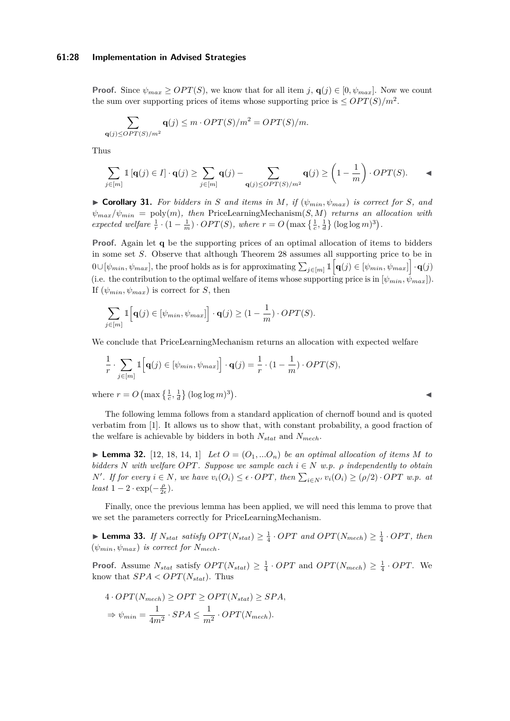### **61:28 Implementation in Advised Strategies**

**Proof.** Since  $\psi_{max} \geq OPT(S)$ , we know that for all item *j*, **q**(*j*)  $\in [0, \psi_{max}]$ . Now we count the sum over supporting prices of items whose supporting price is  $\leq$  *OPT*(*S*)/*m*<sup>2</sup>.

$$
\sum_{\mathbf{q}(j)\leq OPT(S)/m^2} \mathbf{q}(j) \leq m \cdot OPT(S)/m^2 = OPT(S)/m.
$$

Thus

$$
\sum_{j \in [m]} \mathbb{1} \left[ \mathbf{q}(j) \in I \right] \cdot \mathbf{q}(j) \ge \sum_{j \in [m]} \mathbf{q}(j) - \sum_{\mathbf{q}(j) \le OPT(S)/m^2} \mathbf{q}(j) \ge \left(1 - \frac{1}{m}\right) \cdot OPT(S).
$$

<span id="page-27-2"></span> $\triangleright$  **Corollary 31.** For bidders in *S* and items in *M*, if  $(\psi_{min}, \psi_{max})$  is correct for *S*, and  $\psi_{max}/\psi_{min} = \text{poly}(m)$ , then PriceLearningMechanism $(S, M)$  returns an allocation with *expected welfare*  $\frac{1}{r} \cdot (1 - \frac{1}{m}) \cdot OPT(S)$ *, where*  $r = O\left(\max\left\{\frac{1}{c}, \frac{1}{d}\right\} (\log \log m)^3\right)$ *.* 

**Proof.** Again let **q** be the supporting prices of an optimal allocation of items to bidders in some set *S*. Observe that although Theorem [28](#page-24-0) assumes all supporting price to be in  $0 \cup [\psi_{min}, \psi_{max}]$ , the proof holds as is for approximating  $\sum_{j \in [m]} 1 \big| \mathbf{q}(j) \in [\psi_{min}, \psi_{max}] \big| \cdot \mathbf{q}(j)$ (i.e. the contribution to the optimal welfare of items whose supporting price is in  $[\psi_{min}, \psi_{max}]$ ). If  $(\psi_{min}, \psi_{max})$  is correct for *S*, then

$$
\sum_{j \in [m]} \mathbb{1}\Big[\mathbf{q}(j) \in [\psi_{min}, \psi_{max}]\Big] \cdot \mathbf{q}(j) \ge (1 - \frac{1}{m}) \cdot OPT(S).
$$

We conclude that PriceLearningMechanism returns an allocation with expected welfare

$$
\frac{1}{r} \cdot \sum_{j \in [m]} \mathbb{1}\Big[\mathbf{q}(j) \in [\psi_{min}, \psi_{max}]\Big] \cdot \mathbf{q}(j) = \frac{1}{r} \cdot (1 - \frac{1}{m}) \cdot OPT(S),
$$

where  $r = O\left(\max\left\{\frac{1}{c}, \frac{1}{d}\right\} (\log \log m)^3\right)$ 

The following lemma follows from a standard application of chernoff bound and is quoted verbatim from [\[1\]](#page-13-0). It allows us to show that, with constant probability, a good fraction of the welfare is achievable by bidders in both *Nstat* and *Nmech*.

<span id="page-27-0"></span> $\blacktriangleright$  **Lemma 32.** [\[12,](#page-14-3) [18,](#page-14-4) [14,](#page-14-6) [1\]](#page-13-0) *Let*  $O = (O_1, \ldots O_n)$  *be an optimal allocation of items M to bidders N with welfare OPT. Suppose we sample each*  $i \in N$  *w.p.*  $\rho$  *independently to obtain* N'. If for every  $i \in N$ , we have  $v_i(O_i) \leq \epsilon \cdot OPT$ , then  $\sum_{i \in N'} v_i(O_i) \geq (\rho/2) \cdot OPT$  w.p. at  $least\ 1-2\cdot \exp(-\frac{\rho}{2\epsilon}).$ 

Finally, once the previous lemma has been applied, we will need this lemma to prove that we set the parameters correctly for PriceLearningMechanism.

<span id="page-27-1"></span>▶ **Lemma 33.** *If*  $N_{stat}$  *satisfy*  $OPT(N_{stat}) \geq \frac{1}{4} \cdot OPT$  *and*  $OPT(N_{mech}) \geq \frac{1}{4} \cdot OPT$ *, then*  $(\psi_{min}, \psi_{max})$  *is correct for*  $N_{mech}$ *.* 

**Proof.** Assume  $N_{stat}$  satisfy  $OPT(N_{stat}) \geq \frac{1}{4} \cdot OPT$  and  $OPT(N_{mech}) \geq \frac{1}{4} \cdot OPT$ . We know that  $SPA < OPT(N_{stat})$ . Thus

$$
4 \cdot OPT(N_{mech}) \ge OPT \ge OPT(N_{stat}) \ge SPA,
$$
  
\n
$$
\Rightarrow \psi_{min} = \frac{1}{4m^2} \cdot SPA \le \frac{1}{m^2} \cdot OPT(N_{mech}).
$$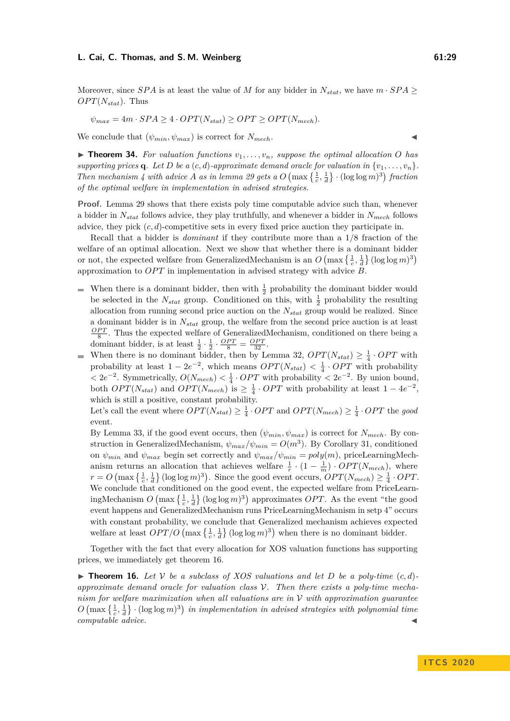Moreover, since *SPA* is at least the value of *M* for any bidder in  $N_{stat}$ , we have  $m \cdot SPA \geq$  $OPT(N_{stat})$ . Thus

$$
\psi_{max} = 4m \cdot SPA \ge 4 \cdot OPT(N_{stat}) \ge OPT \ge OPT(N_{mech}).
$$

We conclude that  $(\psi_{min}, \psi_{max})$  is correct for  $N_{mech}$ .

 $\triangleright$  **Theorem 34.** For valuation functions  $v_1, \ldots, v_n$ , suppose the optimal allocation O has *supporting prices* **q***. Let D be a*  $(c, d)$ *-approximate demand oracle for valuation in*  $\{v_1, \ldots, v_n\}$ . *Then mechanism* [4](#page-25-3) with advice *A* as in lemma [29](#page-25-0) gets a  $O(\max\left\{\frac{1}{c},\frac{1}{d}\right\} \cdot (\log \log m)^3)$  fraction *of the optimal welfare in implementation in advised strategies.*

**Proof.** Lemma [29](#page-25-0) shows that there exists poly time computable advice such than, whenever a bidder in *Nstat* follows advice, they play truthfully, and whenever a bidder in *Nmech* follows advice, they pick  $(c, d)$ -competitive sets in every fixed price auction they participate in.

Recall that a bidder is *dominant* if they contribute more than a 1*/*8 fraction of the welfare of an optimal allocation. Next we show that whether there is a dominant bidder or not, the expected welfare from GeneralizedMechanism is an  $O\left(\max\left\{\frac{1}{c},\frac{1}{d}\right\}(\log\log m)^3\right)$ approximation to *OP T* in implementation in advised strategy with advice *B*.

- When there is a dominant bidder, then with  $\frac{1}{2}$  probability the dominant bidder would  $\blacksquare$ be selected in the  $N_{stat}$  group. Conditioned on this, with  $\frac{1}{2}$  probability the resulting allocation from running second price auction on the *Nstat* group would be realized. Since a dominant bidder is in *Nstat* group, the welfare from the second price auction is at least  $\frac{OPT}{8}$ . Thus the expected welfare of GeneralizedMechanism, conditioned on there being a dominant bidder, is at least  $\frac{1}{2} \cdot \frac{1}{2} \cdot \frac{OPT}{8} = \frac{OPT}{32}$ .
- When there is no dominant bidder, then by Lemma [32,](#page-27-0)  $OPT(N_{stat}) \geq \frac{1}{4} \cdot OPT$  with m. probability at least  $1 - 2e^{-2}$ , which means  $OPT(N_{stat}) < \frac{1}{4} \cdot OPT$  with probability  $\langle 2e^{-2}$ . Symmetrically,  $O(N_{mech}) \langle \frac{1}{4} \cdot OPT$  with probability  $\langle 2e^{-2} \rangle$ . By union bound, both  $OPT(N_{stat})$  and  $OPT(N_{mech})$  is  $\geq \frac{1}{4} \cdot OPT$  with probability at least  $1 - 4e^{-2}$ , which is still a positive, constant probability.

Let's call the event where  $OPT(N_{stat}) \geq \frac{1}{4} \cdot OPT$  and  $OPT(N_{mech}) \geq \frac{1}{4} \cdot OPT$  the *good* event.

By Lemma [33,](#page-27-1) if the good event occurs, then  $(\psi_{min}, \psi_{max})$  is correct for  $N_{mech}$ . By construction in GeneralizedMechanism,  $\psi_{max}/\psi_{min} = O(m^3)$ . By Corollary [31,](#page-27-2) conditioned on  $\psi_{min}$  and  $\psi_{max}$  begin set correctly and  $\psi_{max}/\psi_{min} = poly(m)$ , priceLearningMechanism returns an allocation that achieves welfare  $\frac{1}{r} \cdot (1 - \frac{1}{m}) \cdot OPT(N_{mech})$ , where  $r = O\left(\max\left\{\frac{1}{c}, \frac{1}{d}\right\} (\log \log m)^3\right)$ . Since the good event occurs,  $OPT(N_{mech}) \geq \frac{1}{4} \cdot OPT$ . We conclude that conditioned on the good event, the expected welfare from PriceLearningMechanism  $O\left(\max\left\{\frac{1}{c},\frac{1}{d}\right\}(\log\log m)^3\right)$  approximates *OPT*. As the event "the good event happens and GeneralizedMechanism runs PriceLearningMechanism in setp 4" occurs with constant probability, we conclude that Generalized mechanism achieves expected welfare at least  $OPT/O$  (max  $\{\frac{1}{c},\frac{1}{d}\}\$  (log log  $m$ )<sup>3</sup>) when there is no dominant bidder.

Together with the fact that every allocation for XOS valuation functions has supporting prices, we immediately get theorem [16.](#page-11-1)

 $\triangleright$  **Theorem [16.](#page-11-1)** Let V be a subclass of XOS valuations and let D be a poly-time  $(c, d)$ *approximate demand oracle for valuation class* V*. Then there exists a poly-time mechanism for welfare maximization when all valuations are in* V *with approximation guarantee*  $O\left(\max\left\{\frac{1}{c},\frac{1}{d}\right\}\right) \cdot (\log\log m)^3\right)$  in implementation in advised strategies with polynomial time  $compute$ *dvice.*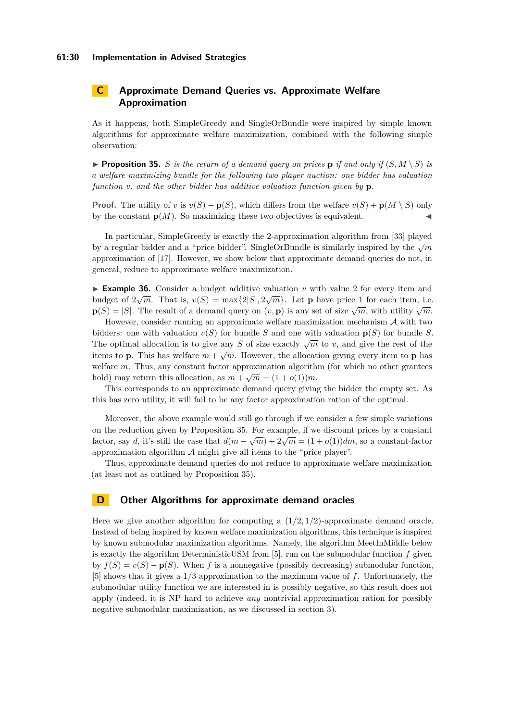# **C Approximate Demand Queries vs. Approximate Welfare Approximation**

As it happens, both SimpleGreedy and SingleOrBundle were inspired by simple known algorithms for approximate welfare maximization, combined with the following simple observation:

<span id="page-29-0"></span>**Proposition 35.** *S is the return of a demand query on prices* **p** *if and only if*  $(S, M \setminus S)$  *is a welfare maximizing bundle for the following two player auction: one bidder has valuation function v, and the other bidder has additive valuation function given by* **p***.*

**Proof.** The utility of *v* is  $v(S) - p(S)$ , which differs from the welfare  $v(S) + p(M \setminus S)$  only by the constant  $p(M)$ . So maximizing these two objectives is equivalent.

In particular, SimpleGreedy is exactly the 2-approximation algorithm from [\[33\]](#page-15-3) played by a regular bidder and a "price bidder". SingleOrBundle is similarly inspired by the  $\sqrt{m}$ approximation of [\[17\]](#page-14-8). However, we show below that approximate demand queries do not, in general, reduce to approximate welfare maximization.

**Example 36.** Consider a budget additive valuation *v* with value 2 for every item and budget of  $2\sqrt{m}$ . That is,  $v(S) = \max\{2|S|, 2\sqrt{m}\}\$ . Let **p** have price 1 for each item, i.e. **p**(*S*) = |*S*|. The result of a demand query on  $(v, \mathbf{p})$  is any set of size  $\sqrt{m}$ , with utility  $\sqrt{m}$ .

However, consider running an approximate welfare maximization mechanism  $A$  with two bidders: one with valuation  $v(S)$  for bundle *S* and one with valuation  $p(S)$  for bundle *S*. The optimal allocation is to give any *S* of size exactly  $\sqrt{m}$  to *v*, and give the rest of the items to **p**. This has welfare  $m + \sqrt{m}$ . However, the allocation giving every item to **p** has welfare *m*. Thus, any constant factor approximation algorithm (for which no other grantees hold) may return this allocation, as  $m + \sqrt{m} = (1 + o(1))m$ .

This corresponds to an approximate demand query giving the bidder the empty set. As this has zero utility, it will fail to be any factor approximation ration of the optimal.

Moreover, the above example would still go through if we consider a few simple variations on the reduction given by Proposition [35.](#page-29-0) For example, if we discount prices by a constant factor, say *d*, it's still the case that  $d(m - \sqrt{m}) + 2\sqrt{m} = (1 + o(1))dm$ , so a constant-factor approximation algorithm  $A$  might give all items to the "price player".

Thus, approximate demand queries do not reduce to approximate welfare maximization (at least not as outlined by Proposition [35\)](#page-29-0).

# **D Other Algorithms for approximate demand oracles**

Here we give another algorithm for computing a  $(1/2, 1/2)$ -approximate demand oracle. Instead of being inspired by known welfare maximization algorithms, this technique is inspired by known submodular maximization algorithms. Namely, the algorithm MeetInMiddle below is exactly the algorithm DeterministicUSM from [\[5\]](#page-14-17), run on the submodular function *f* given by  $f(S) = v(S) - p(S)$ . When f is a nonnegative (possibly decreasing) submodular function, [\[5\]](#page-14-17) shows that it gives a 1*/*3 approximation to the maximum value of *f*. Unfortunately, the submodular utility function we are interested in is possibly negative, so this result does not apply (indeed, it is NP hard to achieve *any* nontrivial approximation ration for possibly negative submodular maximization, as we discussed in section [3\)](#page-8-0).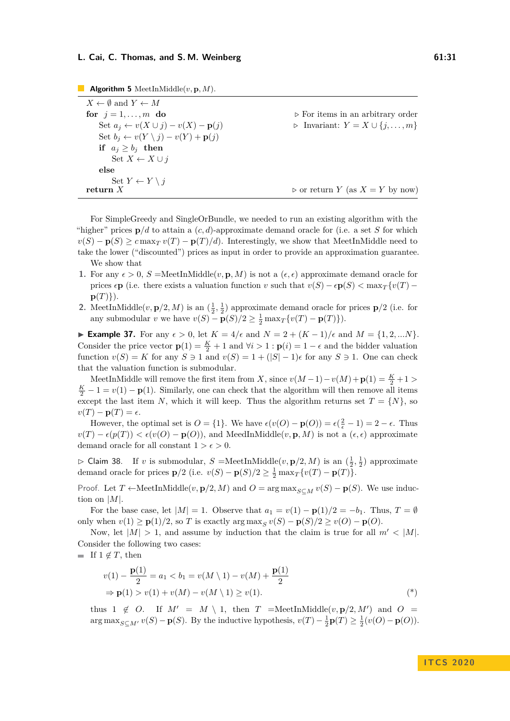| $X \leftarrow \emptyset$ and $Y \leftarrow M$                |                                                     |
|--------------------------------------------------------------|-----------------------------------------------------|
| for $j = 1, \ldots, m$ do                                    | $\triangleright$ For items in an arbitrary order    |
| Set $a_j \leftarrow v(X \cup j) - v(X) - \mathbf{p}(j)$      | $\triangleright$ Invariant: $Y = X \cup \{j, , m\}$ |
| Set $b_i \leftarrow v(Y \setminus j) - v(Y) + \mathbf{p}(j)$ |                                                     |
| if $a_i \geq b_i$ then                                       |                                                     |
| Set $X \leftarrow X \cup j$                                  |                                                     |
| else                                                         |                                                     |
| Set $Y \leftarrow Y \setminus j$                             |                                                     |
| return $X$                                                   | $\triangleright$ or return Y (as $X = Y$ by now)    |

**The Second Second Algorithm 5** MeetInMiddle( $v$ ,  $\mathbf{p}$ ,  $M$ ).

For SimpleGreedy and SingleOrBundle, we needed to run an existing algorithm with the "higher" prices  $p/d$  to attain a  $(c, d)$ -approximate demand oracle for (i.e. a set *S* for which  $v(S) - p(S) \geq c \max_{T} v(T) - p(T)/d$ . Interestingly, we show that MeetInMiddle need to take the lower ("discounted") prices as input in order to provide an approximation guarantee. We show that

- **1.** For any  $\epsilon > 0$ ,  $S = \text{MeetInMidale}(v, \mathbf{p}, M)$  is not a  $(\epsilon, \epsilon)$  approximate demand oracle for prices *e***p** (i.e. there exists a valuation function *v* such that  $v(S) - \epsilon p(S) < \max_{T} \{v(T) - \epsilon p(S) \}$  $p(T)$ ).
- **2.** MeetInMiddle(*v*, **p**/2, *M*) is an  $(\frac{1}{2}, \frac{1}{2})$  approximate demand oracle for prices **p**/2 (i.e. for any submodular *v* we have  $v(S) - \mathbf{p}(S)/2 \geq \frac{1}{2} \max_{T} \{v(T) - \mathbf{p}(T)\}\)$ .

**► Example 37.** For any  $\epsilon > 0$ , let  $K = 4/\epsilon$  and  $N = 2 + (K - 1)/\epsilon$  and  $M = \{1, 2, ...N\}$ . Consider the price vector  $\mathbf{p}(1) = \frac{K}{2} + 1$  and  $\forall i > 1 : \mathbf{p}(i) = 1 - \epsilon$  and the bidder valuation function  $v(S) = K$  for any  $S \ni 1$  and  $v(S) = 1 + (|S| - 1)\epsilon$  for any  $S \ni 1$ . One can check that the valuation function is submodular.

MeetInMiddle will remove the first item from *X*, since  $v(M-1) - v(M) + \mathbf{p}(1) = \frac{K}{2} + 1 >$  $\frac{K}{2} - 1 = v(1) - \mathbf{p}(1)$ . Similarly, one can check that the algorithm will then remove all items except the last item *N*, which it will keep. Thus the algorithm returns set  $T = \{N\}$ , so  $v(T) - p(T) = \epsilon$ .

However, the optimal set is  $O = \{1\}$ . We have  $\epsilon(v(O) - p(O)) = \epsilon(\frac{2}{\epsilon} - 1) = 2 - \epsilon$ . Thus  $v(T) - \epsilon(p(T)) \leq \epsilon(v(O) - p(O))$ , and MeedInMiddle(*v*, **p***, M*) is not a ( $\epsilon, \epsilon$ ) approximate demand oracle for all constant  $1 > \epsilon > 0$ .

 $\triangleright$  Claim 38. If *v* is submodular,  $S = \text{MeetInMidde}(v, \mathbf{p}/2, M)$  is an  $(\frac{1}{2}, \frac{1}{2})$  approximate demand oracle for prices  $\mathbf{p}/2$  (i.e.  $v(S) - \mathbf{p}(S)/2 \geq \frac{1}{2} \max_{T} \{v(T) - \mathbf{p}(T)\}.$ 

Proof. Let  $T \leftarrow \text{MeetInMidde}(v, \mathbf{p}/2, M)$  and  $O = \arg \max_{S \subseteq M} v(S) - \mathbf{p}(S)$ . We use induction on |*M*|.

For the base case, let  $|M| = 1$ . Observe that  $a_1 = v(1) - p(1)/2 = -b_1$ . Thus,  $T = \emptyset$ only when *v*(1) ≥ **p**(1)/2, so *T* is exactly arg max<sub>*S*</sub> *v*(*S*) − **p**(*S*)/2 ≥ *v*(*O*) − **p**(*O*).

Now, let  $|M| > 1$ , and assume by induction that the claim is true for all  $m' < |M|$ . Consider the following two cases:

■ If  $1 \notin T$ , then

$$
v(1) - \frac{\mathbf{p}(1)}{2} = a_1 < b_1 = v(M \setminus 1) - v(M) + \frac{\mathbf{p}(1)}{2}
$$
  
\n
$$
\Rightarrow \mathbf{p}(1) > v(1) + v(M) - v(M \setminus 1) \ge v(1).
$$
\n(\*)

thus 1  $\notin$  *O*. If  $M' = M \setminus 1$ , then *T* =MeetInMiddle(*v*, **p**/2*, M'*) and *O* = arg max<sub>*S*⊆*M*</sub><sup>*v*</sup>(*S*) − **p**(*S*). By the inductive hypothesis,  $v(T) - \frac{1}{2}$ **p**(*T*) ≥  $\frac{1}{2}(v(O) - p(O))$ .